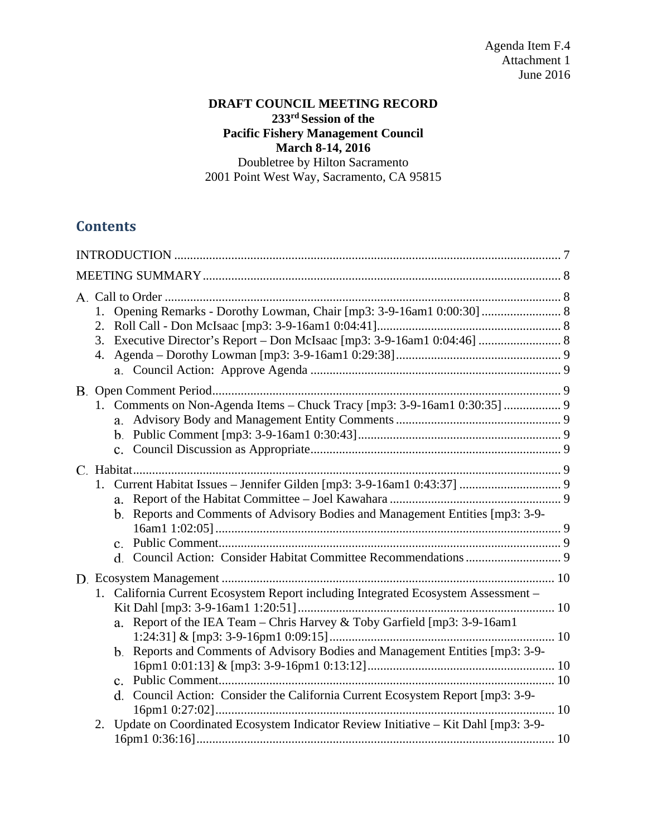### **DRAFT COUNCIL MEETING RECORD 233rd Session of the Pacific Fishery Management Council March 8-14, 2016**  Doubletree by Hilton Sacramento

2001 Point West Way, Sacramento, CA 95815

# **Contents**

|  | 1.<br>3. Executive Director's Report - Don McIsaac [mp3: 3-9-16am1 0:04:46]  8                                                                                                                                                                                                                                                    |  |
|--|-----------------------------------------------------------------------------------------------------------------------------------------------------------------------------------------------------------------------------------------------------------------------------------------------------------------------------------|--|
|  | 1. Comments on Non-Agenda Items - Chuck Tracy [mp3: 3-9-16am1 0:30:35]  9                                                                                                                                                                                                                                                         |  |
|  | b. Reports and Comments of Advisory Bodies and Management Entities [mp3: 3-9-                                                                                                                                                                                                                                                     |  |
|  | 1. California Current Ecosystem Report including Integrated Ecosystem Assessment -<br>a. Report of the IEA Team - Chris Harvey & Toby Garfield [mp3: 3-9-16am1<br>b. Reports and Comments of Advisory Bodies and Management Entities [mp3: 3-9-<br>d. Council Action: Consider the California Current Ecosystem Report [mp3: 3-9- |  |
|  | Update on Coordinated Ecosystem Indicator Review Initiative - Kit Dahl [mp3: 3-9-<br>2.                                                                                                                                                                                                                                           |  |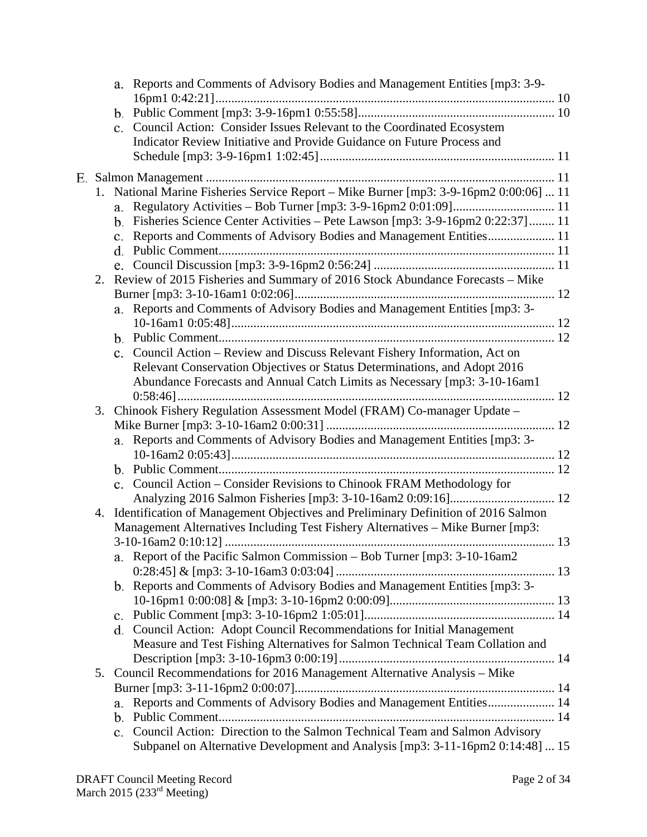|    |    | a. Reports and Comments of Advisory Bodies and Management Entities [mp3: 3-9-                |
|----|----|----------------------------------------------------------------------------------------------|
|    |    |                                                                                              |
|    |    |                                                                                              |
|    |    | c. Council Action: Consider Issues Relevant to the Coordinated Ecosystem                     |
|    |    | Indicator Review Initiative and Provide Guidance on Future Process and                       |
|    |    |                                                                                              |
|    |    | 1. National Marine Fisheries Service Report - Mike Burner [mp3: 3-9-16pm2 0:00:06]  11       |
|    |    |                                                                                              |
|    |    | b. Fisheries Science Center Activities - Pete Lawson [mp3: 3-9-16pm2 0:22:37] 11             |
|    |    | $\mathbf{c}$ .                                                                               |
|    |    |                                                                                              |
|    |    |                                                                                              |
|    | 2. | Review of 2015 Fisheries and Summary of 2016 Stock Abundance Forecasts - Mike                |
|    |    |                                                                                              |
|    |    | a. Reports and Comments of Advisory Bodies and Management Entities [mp3: 3-                  |
|    |    |                                                                                              |
|    |    |                                                                                              |
|    |    | c. Council Action – Review and Discuss Relevant Fishery Information, Act on                  |
|    |    | Relevant Conservation Objectives or Status Determinations, and Adopt 2016                    |
|    |    | Abundance Forecasts and Annual Catch Limits as Necessary [mp3: 3-10-16am1                    |
|    |    |                                                                                              |
|    | 3. | Chinook Fishery Regulation Assessment Model (FRAM) Co-manager Update -                       |
|    |    |                                                                                              |
|    |    | a. Reports and Comments of Advisory Bodies and Management Entities [mp3: 3-                  |
|    |    |                                                                                              |
|    |    |                                                                                              |
|    |    | c. Council Action - Consider Revisions to Chinook FRAM Methodology for                       |
|    |    |                                                                                              |
| 4. |    | Identification of Management Objectives and Preliminary Definition of 2016 Salmon            |
|    |    | Management Alternatives Including Test Fishery Alternatives - Mike Burner [mp3:              |
|    |    |                                                                                              |
|    |    | a. Report of the Pacific Salmon Commission - Bob Turner [mp3: 3-10-16am2]                    |
|    |    |                                                                                              |
|    |    | b. Reports and Comments of Advisory Bodies and Management Entities [mp3: 3-                  |
|    |    |                                                                                              |
|    |    |                                                                                              |
|    |    | d. Council Action: Adopt Council Recommendations for Initial Management                      |
|    |    | Measure and Test Fishing Alternatives for Salmon Technical Team Collation and                |
|    |    | 5. Council Recommendations for 2016 Management Alternative Analysis - Mike                   |
|    |    |                                                                                              |
|    |    | Reports and Comments of Advisory Bodies and Management Entities 14<br>a.                     |
|    |    | b.                                                                                           |
|    |    | Council Action: Direction to the Salmon Technical Team and Salmon Advisory<br>$\mathbf{c}$ . |
|    |    | Subpanel on Alternative Development and Analysis [mp3: 3-11-16pm2 0:14:48]  15               |
|    |    |                                                                                              |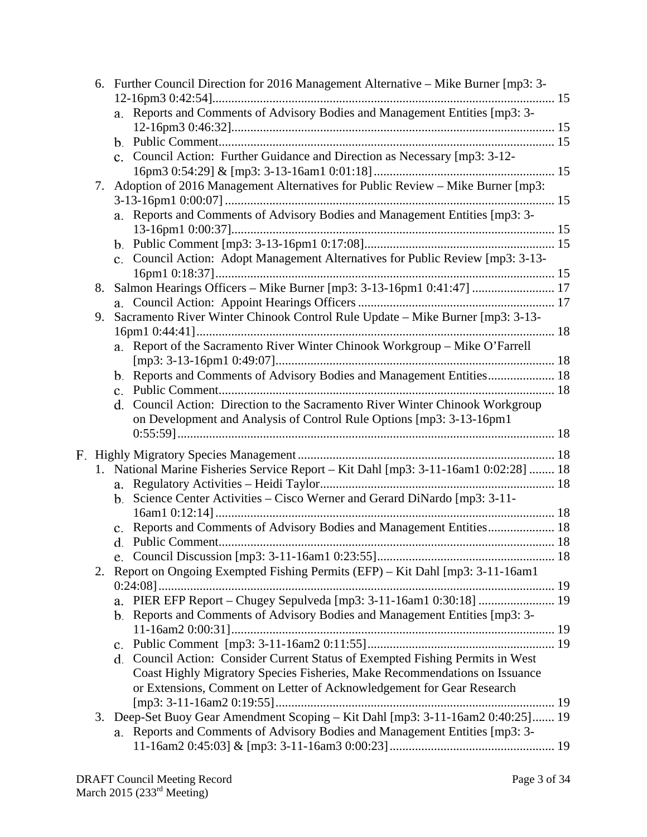| 6. Further Council Direction for 2016 Management Alternative – Mike Burner [mp3: 3- |                                                                                      |  |
|-------------------------------------------------------------------------------------|--------------------------------------------------------------------------------------|--|
|                                                                                     | a. Reports and Comments of Advisory Bodies and Management Entities [mp3: 3-          |  |
|                                                                                     |                                                                                      |  |
|                                                                                     |                                                                                      |  |
|                                                                                     | c. Council Action: Further Guidance and Direction as Necessary [mp3: 3-12-           |  |
|                                                                                     |                                                                                      |  |
| 7.                                                                                  | Adoption of 2016 Management Alternatives for Public Review – Mike Burner [mp3:       |  |
|                                                                                     |                                                                                      |  |
|                                                                                     | a. Reports and Comments of Advisory Bodies and Management Entities [mp3: 3-          |  |
|                                                                                     |                                                                                      |  |
|                                                                                     | c. Council Action: Adopt Management Alternatives for Public Review [mp3: 3-13-       |  |
|                                                                                     |                                                                                      |  |
| 8.                                                                                  |                                                                                      |  |
|                                                                                     |                                                                                      |  |
| 9.                                                                                  | Sacramento River Winter Chinook Control Rule Update - Mike Burner [mp3: 3-13-        |  |
|                                                                                     |                                                                                      |  |
|                                                                                     | a. Report of the Sacramento River Winter Chinook Workgroup – Mike O'Farrell          |  |
|                                                                                     |                                                                                      |  |
|                                                                                     | b. Reports and Comments of Advisory Bodies and Management Entities 18                |  |
|                                                                                     |                                                                                      |  |
|                                                                                     | d. Council Action: Direction to the Sacramento River Winter Chinook Workgroup        |  |
|                                                                                     | on Development and Analysis of Control Rule Options [mp3: 3-13-16pm1                 |  |
|                                                                                     |                                                                                      |  |
|                                                                                     |                                                                                      |  |
|                                                                                     | 1. National Marine Fisheries Service Report - Kit Dahl [mp3: 3-11-16am1 0:02:28]  18 |  |
|                                                                                     |                                                                                      |  |
|                                                                                     | b. Science Center Activities – Cisco Werner and Gerard DiNardo $[mp3:3-11]$          |  |
| Reports and Comments of Advisory Bodies and Management Entities 18                  |                                                                                      |  |
|                                                                                     |                                                                                      |  |
|                                                                                     |                                                                                      |  |
| Report on Ongoing Exempted Fishing Permits (EFP) - Kit Dahl [mp3: 3-11-16am1<br>2.  |                                                                                      |  |
|                                                                                     |                                                                                      |  |
|                                                                                     |                                                                                      |  |
| b. Reports and Comments of Advisory Bodies and Management Entities [mp3: 3-         |                                                                                      |  |
|                                                                                     |                                                                                      |  |
|                                                                                     |                                                                                      |  |
|                                                                                     | d. Council Action: Consider Current Status of Exempted Fishing Permits in West       |  |
|                                                                                     | Coast Highly Migratory Species Fisheries, Make Recommendations on Issuance           |  |
|                                                                                     | or Extensions, Comment on Letter of Acknowledgement for Gear Research                |  |
|                                                                                     | 3. Deep-Set Buoy Gear Amendment Scoping - Kit Dahl [mp3: 3-11-16am2 0:40:25] 19      |  |
|                                                                                     | a. Reports and Comments of Advisory Bodies and Management Entities [mp3: 3-          |  |
|                                                                                     |                                                                                      |  |
|                                                                                     |                                                                                      |  |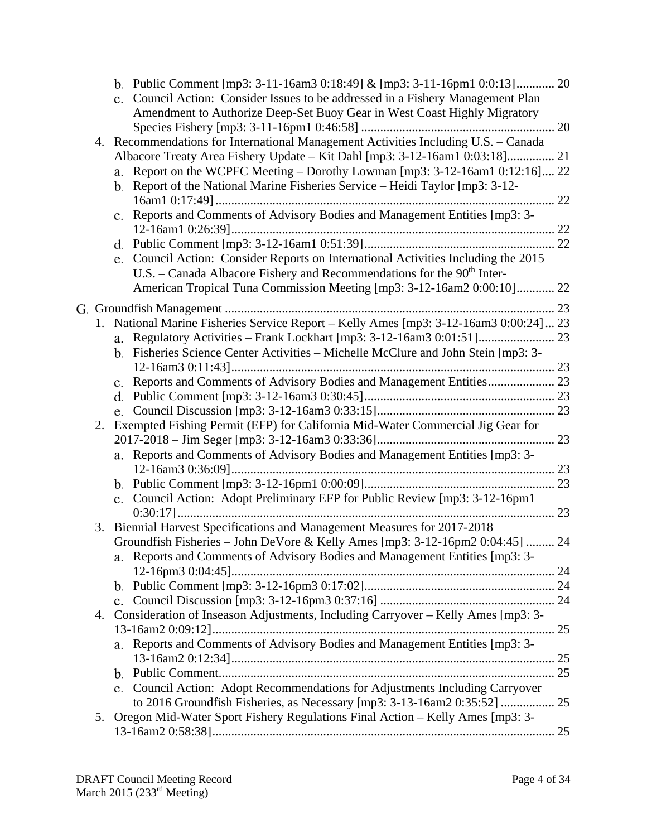|    | b. Public Comment [mp3: 3-11-16am3 0:18:49] & [mp3: 3-11-16pm1 0:0:13] 20<br>c. Council Action: Consider Issues to be addressed in a Fishery Management Plan<br>Amendment to Authorize Deep-Set Buoy Gear in West Coast Highly Migratory |  |
|----|------------------------------------------------------------------------------------------------------------------------------------------------------------------------------------------------------------------------------------------|--|
|    |                                                                                                                                                                                                                                          |  |
|    | 4. Recommendations for International Management Activities Including U.S. - Canada                                                                                                                                                       |  |
|    | Albacore Treaty Area Fishery Update - Kit Dahl [mp3: 3-12-16am1 0:03:18] 21                                                                                                                                                              |  |
|    | a. Report on the WCPFC Meeting – Dorothy Lowman [mp3: 3-12-16am1 0:12:16] 22                                                                                                                                                             |  |
|    | b. Report of the National Marine Fisheries Service – Heidi Taylor [mp3: 3-12-                                                                                                                                                            |  |
|    | c. Reports and Comments of Advisory Bodies and Management Entities [mp3: 3-                                                                                                                                                              |  |
|    |                                                                                                                                                                                                                                          |  |
|    |                                                                                                                                                                                                                                          |  |
|    | e. Council Action: Consider Reports on International Activities Including the 2015                                                                                                                                                       |  |
|    | U.S. – Canada Albacore Fishery and Recommendations for the $90th$ Inter-                                                                                                                                                                 |  |
|    | American Tropical Tuna Commission Meeting [mp3: 3-12-16am2 0:00:10] 22                                                                                                                                                                   |  |
|    |                                                                                                                                                                                                                                          |  |
|    | 1. National Marine Fisheries Service Report - Kelly Ames [mp3: 3-12-16am3 0:00:24] 23                                                                                                                                                    |  |
|    |                                                                                                                                                                                                                                          |  |
|    | b. Fisheries Science Center Activities - Michelle McClure and John Stein [mp3: 3-                                                                                                                                                        |  |
|    |                                                                                                                                                                                                                                          |  |
|    | c. Reports and Comments of Advisory Bodies and Management Entities 23                                                                                                                                                                    |  |
|    |                                                                                                                                                                                                                                          |  |
| 2. | Exempted Fishing Permit (EFP) for California Mid-Water Commercial Jig Gear for                                                                                                                                                           |  |
|    |                                                                                                                                                                                                                                          |  |
|    | a. Reports and Comments of Advisory Bodies and Management Entities [mp3: 3-                                                                                                                                                              |  |
|    |                                                                                                                                                                                                                                          |  |
|    |                                                                                                                                                                                                                                          |  |
|    | c. Council Action: Adopt Preliminary EFP for Public Review [mp3: 3-12-16pm1                                                                                                                                                              |  |
|    |                                                                                                                                                                                                                                          |  |
| 3. | Biennial Harvest Specifications and Management Measures for 2017-2018                                                                                                                                                                    |  |
|    | Groundfish Fisheries - John DeVore & Kelly Ames [mp3: 3-12-16pm2 0:04:45]  24                                                                                                                                                            |  |
|    | a. Reports and Comments of Advisory Bodies and Management Entities [mp3: 3-                                                                                                                                                              |  |
|    |                                                                                                                                                                                                                                          |  |
|    |                                                                                                                                                                                                                                          |  |
|    | 4. Consideration of Inseason Adjustments, Including Carryover - Kelly Ames [mp3: 3-                                                                                                                                                      |  |
|    |                                                                                                                                                                                                                                          |  |
|    | Reports and Comments of Advisory Bodies and Management Entities [mp3: 3-<br>a.                                                                                                                                                           |  |
|    |                                                                                                                                                                                                                                          |  |
|    |                                                                                                                                                                                                                                          |  |
|    | c. Council Action: Adopt Recommendations for Adjustments Including Carryover                                                                                                                                                             |  |
|    |                                                                                                                                                                                                                                          |  |
| 5. | Oregon Mid-Water Sport Fishery Regulations Final Action - Kelly Ames [mp3: 3-                                                                                                                                                            |  |
|    |                                                                                                                                                                                                                                          |  |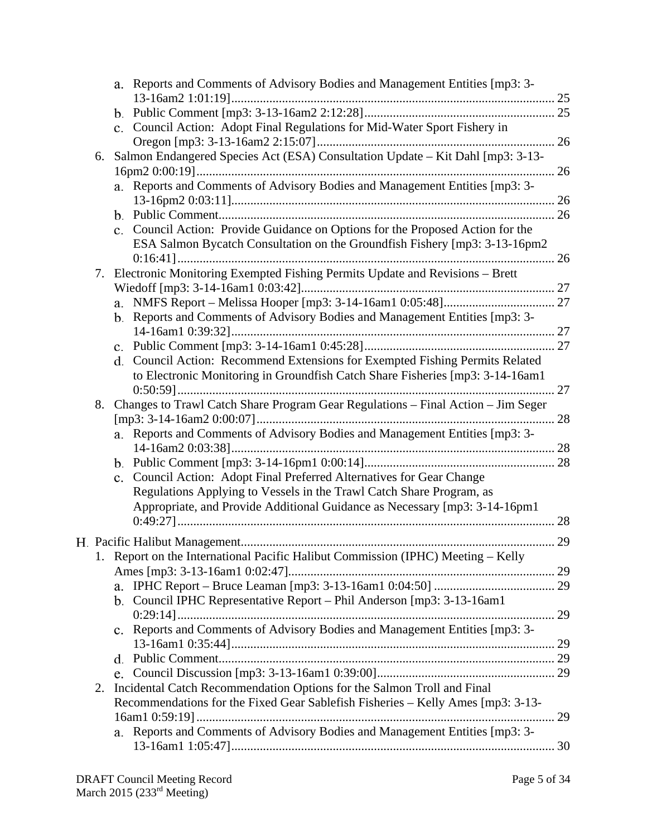|                                                                                 |                | a. Reports and Comments of Advisory Bodies and Management Entities [mp3: 3-      |    |
|---------------------------------------------------------------------------------|----------------|----------------------------------------------------------------------------------|----|
|                                                                                 |                |                                                                                  |    |
|                                                                                 |                |                                                                                  |    |
|                                                                                 |                | c. Council Action: Adopt Final Regulations for Mid-Water Sport Fishery in        |    |
|                                                                                 |                |                                                                                  |    |
| 6.                                                                              |                | Salmon Endangered Species Act (ESA) Consultation Update - Kit Dahl [mp3: 3-13-   |    |
|                                                                                 |                |                                                                                  | 26 |
|                                                                                 |                | a. Reports and Comments of Advisory Bodies and Management Entities [mp3: 3-      |    |
|                                                                                 |                |                                                                                  |    |
|                                                                                 |                |                                                                                  |    |
|                                                                                 |                | c. Council Action: Provide Guidance on Options for the Proposed Action for the   |    |
|                                                                                 |                | ESA Salmon Bycatch Consultation on the Groundfish Fishery [mp3: 3-13-16pm2       |    |
|                                                                                 |                | Electronic Monitoring Exempted Fishing Permits Update and Revisions - Brett      |    |
| 7.                                                                              |                |                                                                                  |    |
|                                                                                 |                |                                                                                  |    |
|                                                                                 |                | b. Reports and Comments of Advisory Bodies and Management Entities [mp3: 3-      |    |
|                                                                                 |                |                                                                                  |    |
|                                                                                 |                |                                                                                  |    |
|                                                                                 |                | d. Council Action: Recommend Extensions for Exempted Fishing Permits Related     |    |
|                                                                                 |                | to Electronic Monitoring in Groundfish Catch Share Fisheries [mp3: 3-14-16am1    |    |
|                                                                                 |                |                                                                                  |    |
| 8.                                                                              |                | Changes to Trawl Catch Share Program Gear Regulations - Final Action - Jim Seger |    |
|                                                                                 |                |                                                                                  |    |
|                                                                                 |                | a. Reports and Comments of Advisory Bodies and Management Entities [mp3: 3-      |    |
|                                                                                 |                |                                                                                  |    |
|                                                                                 |                |                                                                                  |    |
|                                                                                 | $\mathbf{c}$ . | Council Action: Adopt Final Preferred Alternatives for Gear Change               |    |
|                                                                                 |                | Regulations Applying to Vessels in the Trawl Catch Share Program, as             |    |
|                                                                                 |                | Appropriate, and Provide Additional Guidance as Necessary [mp3: 3-14-16pm1       |    |
|                                                                                 |                |                                                                                  |    |
|                                                                                 |                |                                                                                  |    |
|                                                                                 |                | 1. Report on the International Pacific Halibut Commission (IPHC) Meeting – Kelly |    |
|                                                                                 |                |                                                                                  |    |
|                                                                                 | a.             |                                                                                  |    |
|                                                                                 |                | b. Council IPHC Representative Report - Phil Anderson [mp3: 3-13-16am1           |    |
|                                                                                 |                |                                                                                  |    |
|                                                                                 |                | c. Reports and Comments of Advisory Bodies and Management Entities [mp3: 3-      |    |
|                                                                                 |                |                                                                                  |    |
|                                                                                 | d.             |                                                                                  |    |
|                                                                                 | e.             |                                                                                  |    |
| 2.                                                                              |                | Incidental Catch Recommendation Options for the Salmon Troll and Final           |    |
| Recommendations for the Fixed Gear Sablefish Fisheries - Kelly Ames [mp3: 3-13- |                |                                                                                  |    |
|                                                                                 |                |                                                                                  |    |
| a. Reports and Comments of Advisory Bodies and Management Entities [mp3: 3-     |                |                                                                                  |    |
|                                                                                 |                |                                                                                  |    |
|                                                                                 |                |                                                                                  |    |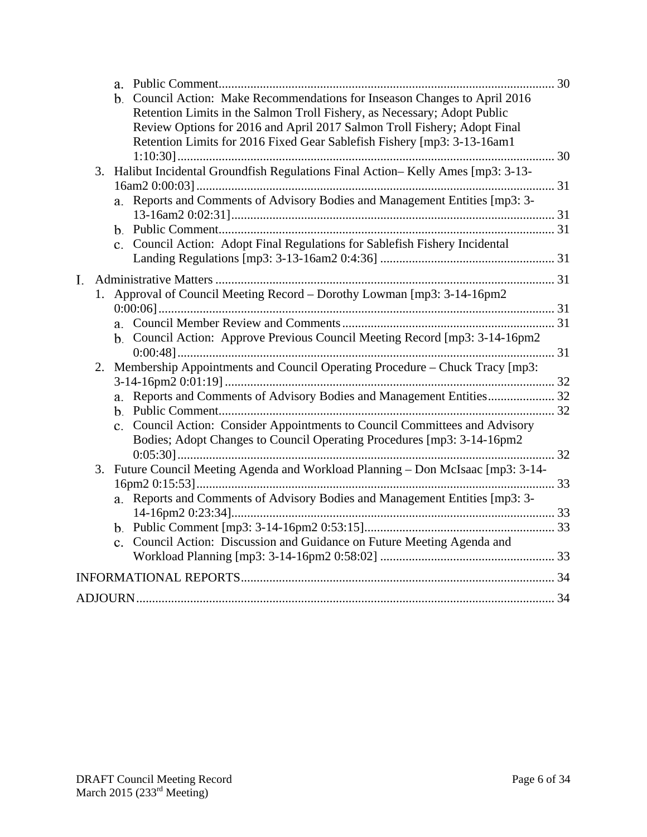|    |    | a.                                                                                                                                                                                                                                                                                                            |  |
|----|----|---------------------------------------------------------------------------------------------------------------------------------------------------------------------------------------------------------------------------------------------------------------------------------------------------------------|--|
|    |    | b. Council Action: Make Recommendations for Inseason Changes to April 2016<br>Retention Limits in the Salmon Troll Fishery, as Necessary; Adopt Public<br>Review Options for 2016 and April 2017 Salmon Troll Fishery; Adopt Final<br>Retention Limits for 2016 Fixed Gear Sablefish Fishery [mp3: 3-13-16am1 |  |
|    |    | 3. Halibut Incidental Groundfish Regulations Final Action-Kelly Ames [mp3: 3-13-                                                                                                                                                                                                                              |  |
|    |    | a. Reports and Comments of Advisory Bodies and Management Entities [mp3: 3-                                                                                                                                                                                                                                   |  |
|    |    |                                                                                                                                                                                                                                                                                                               |  |
|    |    | c. Council Action: Adopt Final Regulations for Sablefish Fishery Incidental                                                                                                                                                                                                                                   |  |
| I. |    |                                                                                                                                                                                                                                                                                                               |  |
|    | 1. | Approval of Council Meeting Record – Dorothy Lowman [mp3: 3-14-16pm2]                                                                                                                                                                                                                                         |  |
|    |    | b. Council Action: Approve Previous Council Meeting Record [mp3: 3-14-16pm2]                                                                                                                                                                                                                                  |  |
|    | 2. | Membership Appointments and Council Operating Procedure – Chuck Tracy [mp3:                                                                                                                                                                                                                                   |  |
|    |    | a. Reports and Comments of Advisory Bodies and Management Entities 32<br>c. Council Action: Consider Appointments to Council Committees and Advisory<br>Bodies; Adopt Changes to Council Operating Procedures [mp3: 3-14-16pm2                                                                                |  |
|    |    |                                                                                                                                                                                                                                                                                                               |  |
|    | 3. | Future Council Meeting Agenda and Workload Planning - Don McIsaac [mp3: 3-14-                                                                                                                                                                                                                                 |  |
|    |    | a. Reports and Comments of Advisory Bodies and Management Entities [mp3: 3-                                                                                                                                                                                                                                   |  |
|    |    | c. Council Action: Discussion and Guidance on Future Meeting Agenda and                                                                                                                                                                                                                                       |  |
|    |    |                                                                                                                                                                                                                                                                                                               |  |
|    |    |                                                                                                                                                                                                                                                                                                               |  |
|    |    |                                                                                                                                                                                                                                                                                                               |  |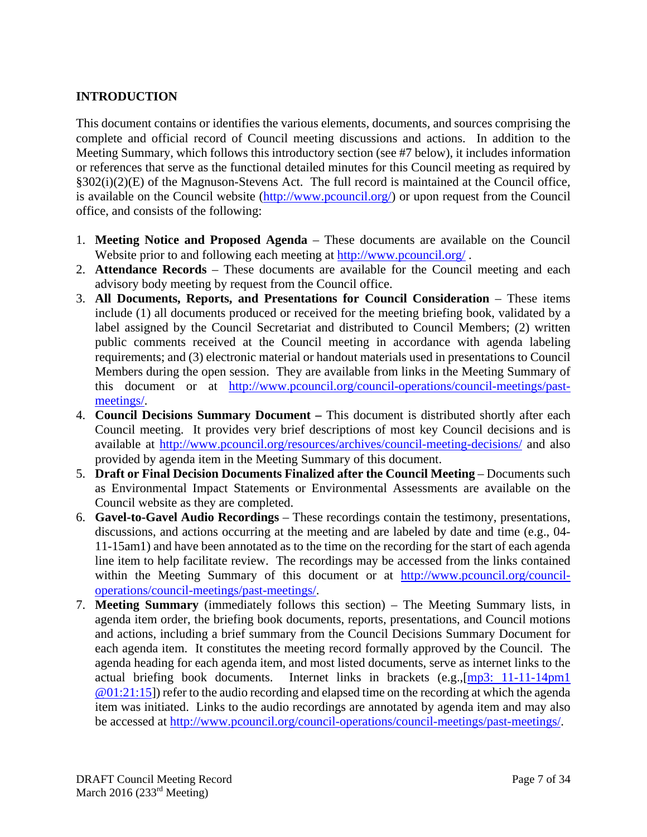# **INTRODUCTION**

This document contains or identifies the various elements, documents, and sources comprising the complete and official record of Council meeting discussions and actions. In addition to the Meeting Summary, which follows this introductory section (see #7 below), it includes information or references that serve as the functional detailed minutes for this Council meeting as required by §302(i)(2)(E) of the Magnuson-Stevens Act. The full record is maintained at the Council office, is available on the Council website (http://www.pcouncil.org/) or upon request from the Council office, and consists of the following:

- 1. **Meeting Notice and Proposed Agenda** These documents are available on the Council Website prior to and following each meeting at http://www.pcouncil.org/.
- 2. **Attendance Records** These documents are available for the Council meeting and each advisory body meeting by request from the Council office.
- 3. **All Documents, Reports, and Presentations for Council Consideration** These items include (1) all documents produced or received for the meeting briefing book, validated by a label assigned by the Council Secretariat and distributed to Council Members; (2) written public comments received at the Council meeting in accordance with agenda labeling requirements; and (3) electronic material or handout materials used in presentations to Council Members during the open session. They are available from links in the Meeting Summary of this document or at http://www.pcouncil.org/council-operations/council-meetings/pastmeetings/.
- 4. **Council Decisions Summary Document** This document is distributed shortly after each Council meeting. It provides very brief descriptions of most key Council decisions and is available at http://www.pcouncil.org/resources/archives/council-meeting-decisions/ and also provided by agenda item in the Meeting Summary of this document.
- 5. **Draft or Final Decision Documents Finalized after the Council Meeting** Documents such as Environmental Impact Statements or Environmental Assessments are available on the Council website as they are completed.
- 6. **Gavel-to-Gavel Audio Recordings** These recordings contain the testimony, presentations, discussions, and actions occurring at the meeting and are labeled by date and time (e.g., 04- 11-15am1) and have been annotated as to the time on the recording for the start of each agenda line item to help facilitate review. The recordings may be accessed from the links contained within the Meeting Summary of this document or at http://www.pcouncil.org/counciloperations/council-meetings/past-meetings/.
- 7. **Meeting Summary** (immediately follows this section) The Meeting Summary lists, in agenda item order, the briefing book documents, reports, presentations, and Council motions and actions, including a brief summary from the Council Decisions Summary Document for each agenda item. It constitutes the meeting record formally approved by the Council. The agenda heading for each agenda item, and most listed documents, serve as internet links to the actual briefing book documents. Internet links in brackets (e.g.,[mp3: 11-11-14pm1 @01:21:15]) refer to the audio recording and elapsed time on the recording at which the agenda item was initiated. Links to the audio recordings are annotated by agenda item and may also be accessed at http://www.pcouncil.org/council-operations/council-meetings/past-meetings/.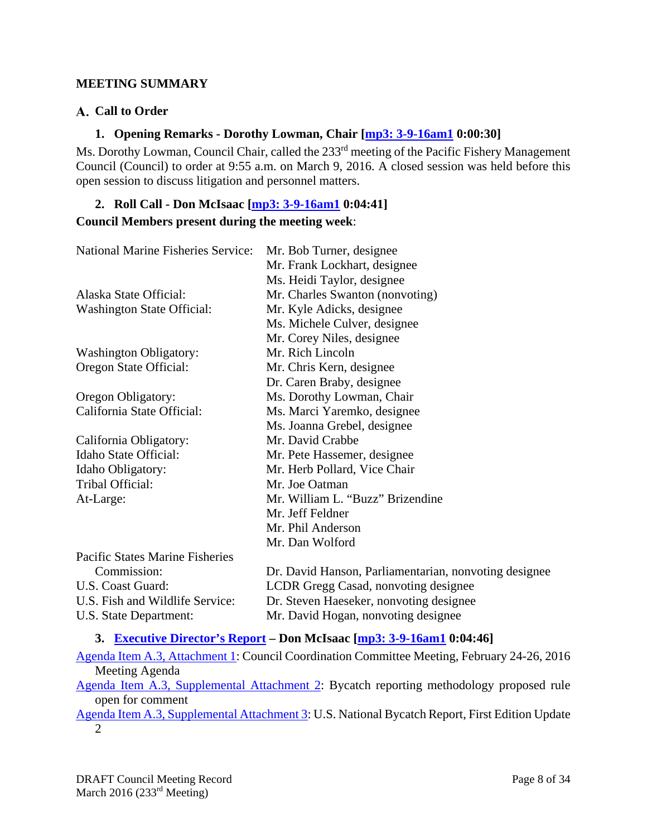#### **MEETING SUMMARY**

#### **Call to Order**

#### **1. Opening Remarks - Dorothy Lowman, Chair [mp3: 3-9-16am1 0:00:30]**

Ms. Dorothy Lowman, Council Chair, called the 233<sup>rd</sup> meeting of the Pacific Fishery Management Council (Council) to order at 9:55 a.m. on March 9, 2016. A closed session was held before this open session to discuss litigation and personnel matters.

#### **2. Roll Call - Don McIsaac [mp3: 3-9-16am1 0:04:41]**

#### **Council Members present during the meeting week**:

| <b>National Marine Fisheries Service:</b> | Mr. Bob Turner, designee                              |
|-------------------------------------------|-------------------------------------------------------|
|                                           | Mr. Frank Lockhart, designee                          |
|                                           | Ms. Heidi Taylor, designee                            |
| Alaska State Official:                    | Mr. Charles Swanton (nonvoting)                       |
| <b>Washington State Official:</b>         | Mr. Kyle Adicks, designee                             |
|                                           | Ms. Michele Culver, designee                          |
|                                           | Mr. Corey Niles, designee                             |
| <b>Washington Obligatory:</b>             | Mr. Rich Lincoln                                      |
| Oregon State Official:                    | Mr. Chris Kern, designee                              |
|                                           | Dr. Caren Braby, designee                             |
| Oregon Obligatory:                        | Ms. Dorothy Lowman, Chair                             |
| California State Official:                | Ms. Marci Yaremko, designee                           |
|                                           | Ms. Joanna Grebel, designee                           |
| California Obligatory:                    | Mr. David Crabbe                                      |
| Idaho State Official:                     | Mr. Pete Hassemer, designee                           |
| Idaho Obligatory:                         | Mr. Herb Pollard, Vice Chair                          |
| Tribal Official:                          | Mr. Joe Oatman                                        |
| At-Large:                                 | Mr. William L. "Buzz" Brizendine                      |
|                                           | Mr. Jeff Feldner                                      |
|                                           | Mr. Phil Anderson                                     |
|                                           | Mr. Dan Wolford                                       |
| <b>Pacific States Marine Fisheries</b>    |                                                       |
| Commission:                               | Dr. David Hanson, Parliamentarian, nonvoting designee |
| U.S. Coast Guard:                         | LCDR Gregg Casad, nonvoting designee                  |
| U.S. Fish and Wildlife Service:           | Dr. Steven Haeseker, nonvoting designee               |
| U.S. State Department:                    | Mr. David Hogan, nonvoting designee                   |
|                                           |                                                       |

#### **3. Executive Director's Report – Don McIsaac [mp3: 3-9-16am1 0:04:46]**

Agenda Item A.3, Attachment 1: Council Coordination Committee Meeting, February 24-26, 2016 Meeting Agenda Agenda Item A.3, Supplemental Attachment 2: Bycatch reporting methodology proposed rule

open for comment

Agenda Item A.3, Supplemental Attachment 3: U.S. National Bycatch Report, First Edition Update 2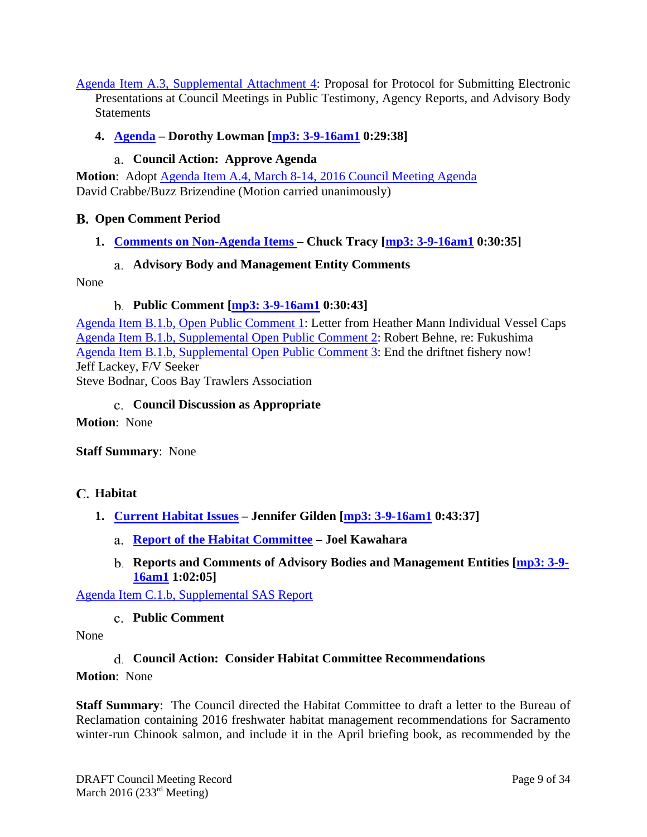Agenda Item A.3, Supplemental Attachment 4: Proposal for Protocol for Submitting Electronic Presentations at Council Meetings in Public Testimony, Agency Reports, and Advisory Body **Statements** 

### **4. Agenda – Dorothy Lowman [mp3: 3-9-16am1 0:29:38]**

# **Council Action: Approve Agenda**

**Motion**: Adopt Agenda Item A.4, March 8-14, 2016 Council Meeting Agenda David Crabbe/Buzz Brizendine (Motion carried unanimously)

### **Open Comment Period**

**1. Comments on Non-Agenda Items – Chuck Tracy [mp3: 3-9-16am1 0:30:35]** 

#### **Advisory Body and Management Entity Comments**

None

### **Public Comment [mp3: 3-9-16am1 0:30:43]**

Agenda Item B.1.b, Open Public Comment 1: Letter from Heather Mann Individual Vessel Caps Agenda Item B.1.b, Supplemental Open Public Comment 2: Robert Behne, re: Fukushima Agenda Item B.1.b, Supplemental Open Public Comment 3: End the driftnet fishery now! Jeff Lackey, F/V Seeker Steve Bodnar, Coos Bay Trawlers Association

#### **Council Discussion as Appropriate**

**Motion**: None

#### **Staff Summary**: None

#### **Habitat**

- **1. Current Habitat Issues Jennifer Gilden [mp3: 3-9-16am1 0:43:37]** 
	- **Report of the Habitat Committee Joel Kawahara**
	- **Reports and Comments of Advisory Bodies and Management Entities [mp3: 3-9- 16am1 1:02:05]**

Agenda Item C.1.b, Supplemental SAS Report

#### **Public Comment**

None

#### **Council Action: Consider Habitat Committee Recommendations**

#### **Motion**: None

**Staff Summary**: The Council directed the Habitat Committee to draft a letter to the Bureau of Reclamation containing 2016 freshwater habitat management recommendations for Sacramento winter-run Chinook salmon, and include it in the April briefing book, as recommended by the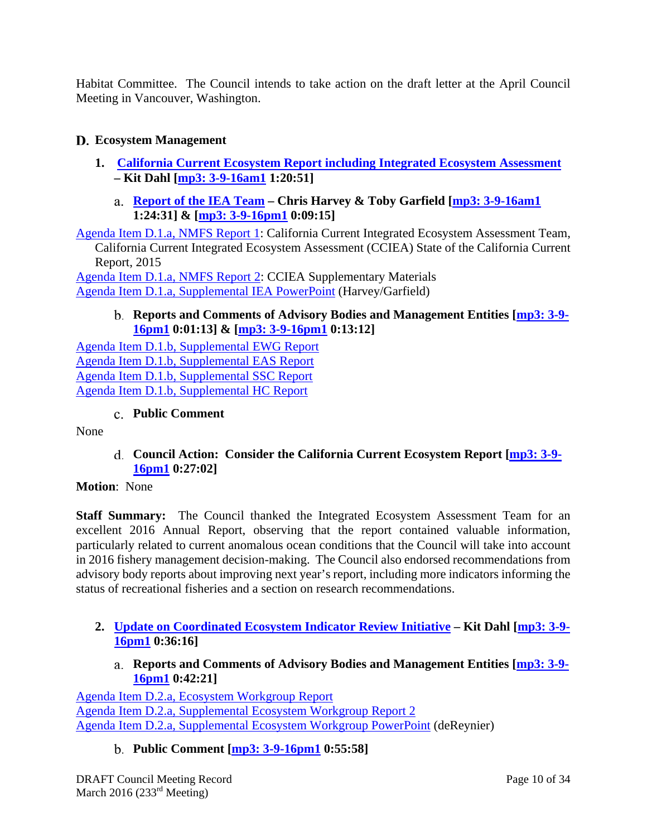Habitat Committee. The Council intends to take action on the draft letter at the April Council Meeting in Vancouver, Washington.

# **Ecosystem Management**

- **1. California Current Ecosystem Report including Integrated Ecosystem Assessment – Kit Dahl [mp3: 3-9-16am1 1:20:51]** 
	- **Report of the IEA Team Chris Harvey & Toby Garfield [mp3: 3-9-16am1 1:24:31] & [mp3: 3-9-16pm1 0:09:15]**

Agenda Item D.1.a, NMFS Report 1: California Current Integrated Ecosystem Assessment Team, California Current Integrated Ecosystem Assessment (CCIEA) State of the California Current Report, 2015

Agenda Item D.1.a, NMFS Report 2: CCIEA Supplementary Materials Agenda Item D.1.a, Supplemental IEA PowerPoint (Harvey/Garfield)

### **Reports and Comments of Advisory Bodies and Management Entities [mp3: 3-9- 16pm1 0:01:13] & [mp3: 3-9-16pm1 0:13:12]**

Agenda Item D.1.b, Supplemental EWG Report Agenda Item D.1.b, Supplemental EAS Report Agenda Item D.1.b, Supplemental SSC Report Agenda Item D.1.b, Supplemental HC Report

#### **Public Comment**

None

**Council Action: Consider the California Current Ecosystem Report [mp3: 3-9- 16pm1 0:27:02]** 

#### **Motion**: None

**Staff Summary:** The Council thanked the Integrated Ecosystem Assessment Team for an excellent 2016 Annual Report, observing that the report contained valuable information, particularly related to current anomalous ocean conditions that the Council will take into account in 2016 fishery management decision-making. The Council also endorsed recommendations from advisory body reports about improving next year's report, including more indicators informing the status of recreational fisheries and a section on research recommendations.

- **2. Update on Coordinated Ecosystem Indicator Review Initiative Kit Dahl [mp3: 3-9- 16pm1 0:36:16]** 
	- **Reports and Comments of Advisory Bodies and Management Entities [mp3: 3-9- 16pm1 0:42:21]**

Agenda Item D.2.a, Ecosystem Workgroup Report Agenda Item D.2.a, Supplemental Ecosystem Workgroup Report 2 Agenda Item D.2.a, Supplemental Ecosystem Workgroup PowerPoint (deReynier)

**Public Comment [mp3: 3-9-16pm1 0:55:58]**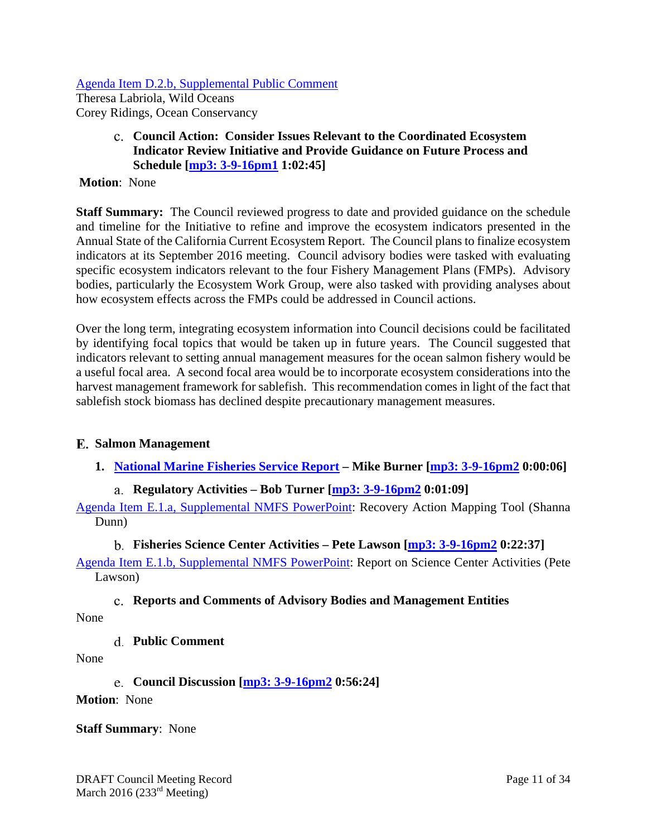Agenda Item D.2.b, Supplemental Public Comment

Theresa Labriola, Wild Oceans Corey Ridings, Ocean Conservancy

> **Council Action: Consider Issues Relevant to the Coordinated Ecosystem Indicator Review Initiative and Provide Guidance on Future Process and Schedule [mp3: 3-9-16pm1 1:02:45]**

#### **Motion**: None

**Staff Summary:** The Council reviewed progress to date and provided guidance on the schedule and timeline for the Initiative to refine and improve the ecosystem indicators presented in the Annual State of the California Current Ecosystem Report. The Council plans to finalize ecosystem indicators at its September 2016 meeting. Council advisory bodies were tasked with evaluating specific ecosystem indicators relevant to the four Fishery Management Plans (FMPs). Advisory bodies, particularly the Ecosystem Work Group, were also tasked with providing analyses about how ecosystem effects across the FMPs could be addressed in Council actions.

Over the long term, integrating ecosystem information into Council decisions could be facilitated by identifying focal topics that would be taken up in future years. The Council suggested that indicators relevant to setting annual management measures for the ocean salmon fishery would be a useful focal area. A second focal area would be to incorporate ecosystem considerations into the harvest management framework for sablefish. This recommendation comes in light of the fact that sablefish stock biomass has declined despite precautionary management measures.

#### **Salmon Management**

**1. National Marine Fisheries Service Report – Mike Burner [mp3: 3-9-16pm2 0:00:06]** 

### **Regulatory Activities – Bob Turner [mp3: 3-9-16pm2 0:01:09]**

Agenda Item E.1.a, Supplemental NMFS PowerPoint: Recovery Action Mapping Tool (Shanna Dunn)

#### **Fisheries Science Center Activities – Pete Lawson [mp3: 3-9-16pm2 0:22:37]**

Agenda Item E.1.b, Supplemental NMFS PowerPoint: Report on Science Center Activities (Pete Lawson)

#### **Reports and Comments of Advisory Bodies and Management Entities**

None

**Public Comment** 

None

**Council Discussion [mp3: 3-9-16pm2 0:56:24]** 

**Motion**: None

# **Staff Summary**: None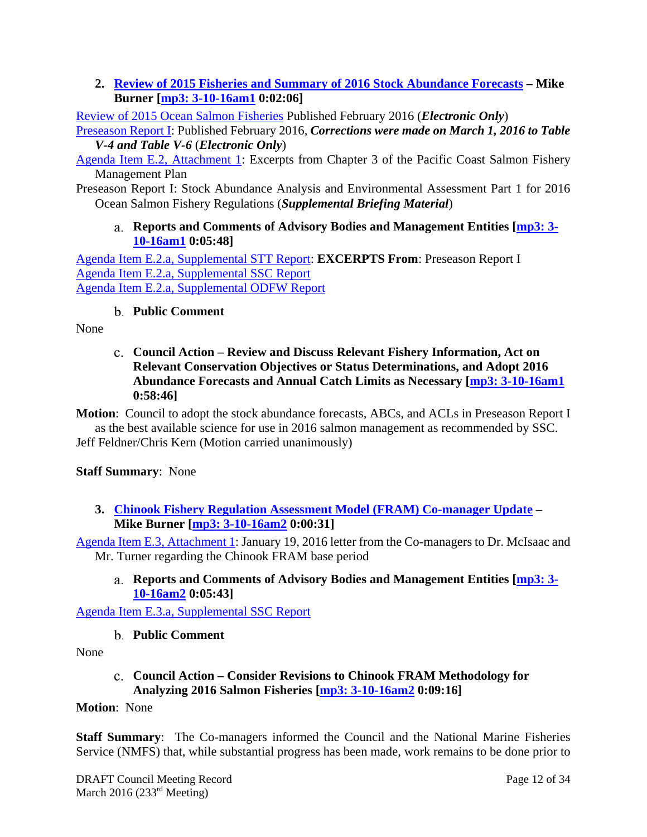**2. Review of 2015 Fisheries and Summary of 2016 Stock Abundance Forecasts – Mike Burner [mp3: 3-10-16am1 0:02:06]** 

Review of 2015 Ocean Salmon Fisheries Published February 2016 (*Electronic Only*)

Preseason Report I: Published February 2016*, Corrections were made on March 1, 2016 to Table V-4 and Table V-6* (*Electronic Only*)

Agenda Item E.2, Attachment 1: Excerpts from Chapter 3 of the Pacific Coast Salmon Fishery Management Plan

Preseason Report I: Stock Abundance Analysis and Environmental Assessment Part 1 for 2016 Ocean Salmon Fishery Regulations (*Supplemental Briefing Material*)

**Reports and Comments of Advisory Bodies and Management Entities [mp3: 3- 10-16am1 0:05:48]** 

Agenda Item E.2.a, Supplemental STT Report: **EXCERPTS From**: Preseason Report I Agenda Item E.2.a, Supplemental SSC Report Agenda Item E.2.a, Supplemental ODFW Report

# **Public Comment**

None

**Council Action – Review and Discuss Relevant Fishery Information, Act on Relevant Conservation Objectives or Status Determinations, and Adopt 2016 Abundance Forecasts and Annual Catch Limits as Necessary [mp3: 3-10-16am1 0:58:46]** 

**Motion**: Council to adopt the stock abundance forecasts, ABCs, and ACLs in Preseason Report I as the best available science for use in 2016 salmon management as recommended by SSC.

Jeff Feldner/Chris Kern (Motion carried unanimously)

### **Staff Summary**: None

**3. Chinook Fishery Regulation Assessment Model (FRAM) Co-manager Update – Mike Burner [mp3: 3-10-16am2 0:00:31]** 

Agenda Item E.3, Attachment 1: January 19, 2016 letter from the Co-managers to Dr. McIsaac and Mr. Turner regarding the Chinook FRAM base period

**Reports and Comments of Advisory Bodies and Management Entities [mp3: 3- 10-16am2 0:05:43]** 

Agenda Item E.3.a, Supplemental SSC Report

**Public Comment** 

None

### **Council Action – Consider Revisions to Chinook FRAM Methodology for Analyzing 2016 Salmon Fisheries [mp3: 3-10-16am2 0:09:16]**

### **Motion**: None

**Staff Summary**: The Co-managers informed the Council and the National Marine Fisheries Service (NMFS) that, while substantial progress has been made, work remains to be done prior to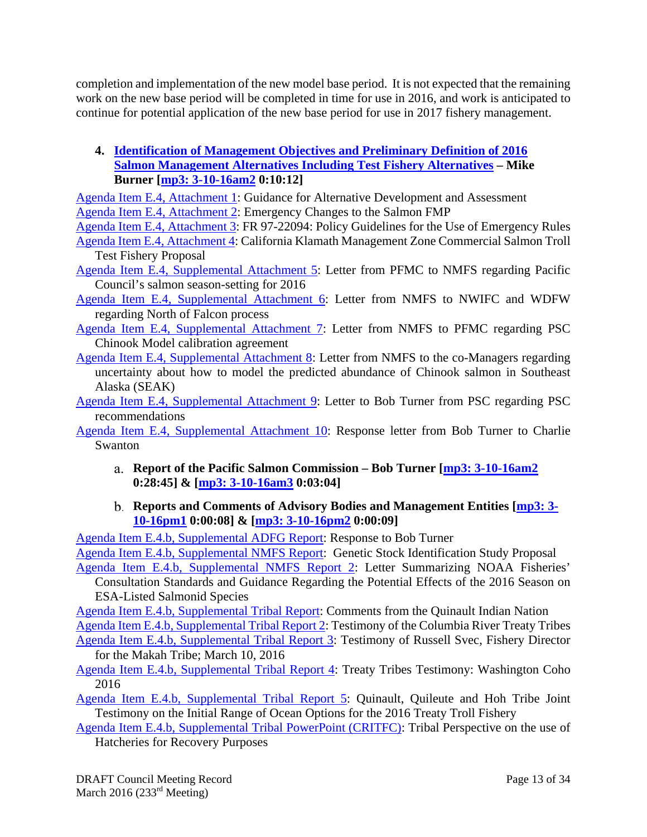completion and implementation of the new model base period. It is not expected that the remaining work on the new base period will be completed in time for use in 2016, and work is anticipated to continue for potential application of the new base period for use in 2017 fishery management.

**4. Identification of Management Objectives and Preliminary Definition of 2016 Salmon Management Alternatives Including Test Fishery Alternatives – Mike Burner [mp3: 3-10-16am2 0:10:12]** 

Agenda Item E.4, Attachment 1: Guidance for Alternative Development and Assessment Agenda Item E.4, Attachment 2: Emergency Changes to the Salmon FMP

Agenda Item E.4, Attachment 3: FR 97-22094: Policy Guidelines for the Use of Emergency Rules Agenda Item E.4, Attachment 4: California Klamath Management Zone Commercial Salmon Troll

Test Fishery Proposal

Agenda Item E.4, Supplemental Attachment 5: Letter from PFMC to NMFS regarding Pacific Council's salmon season-setting for 2016

Agenda Item E.4, Supplemental Attachment 6: Letter from NMFS to NWIFC and WDFW regarding North of Falcon process

- Agenda Item E.4, Supplemental Attachment 7: Letter from NMFS to PFMC regarding PSC Chinook Model calibration agreement
- Agenda Item E.4, Supplemental Attachment 8: Letter from NMFS to the co-Managers regarding uncertainty about how to model the predicted abundance of Chinook salmon in Southeast Alaska (SEAK)

Agenda Item E.4, Supplemental Attachment 9: Letter to Bob Turner from PSC regarding PSC recommendations

Agenda Item E.4, Supplemental Attachment 10: Response letter from Bob Turner to Charlie Swanton

- **Report of the Pacific Salmon Commission Bob Turner [mp3: 3-10-16am2 0:28:45] & [mp3: 3-10-16am3 0:03:04]**
- **Reports and Comments of Advisory Bodies and Management Entities [mp3: 3- 10-16pm1 0:00:08] & [mp3: 3-10-16pm2 0:00:09]**

Agenda Item E.4.b, Supplemental ADFG Report: Response to Bob Turner

Agenda Item E.4.b, Supplemental NMFS Report: Genetic Stock Identification Study Proposal

Agenda Item E.4.b, Supplemental NMFS Report 2: Letter Summarizing NOAA Fisheries' Consultation Standards and Guidance Regarding the Potential Effects of the 2016 Season on ESA-Listed Salmonid Species

Agenda Item E.4.b, Supplemental Tribal Report: Comments from the Quinault Indian Nation Agenda Item E.4.b, Supplemental Tribal Report 2: Testimony of the Columbia River Treaty Tribes Agenda Item E.4.b, Supplemental Tribal Report 3: Testimony of Russell Svec, Fishery Director

for the Makah Tribe; March 10, 2016

Agenda Item E.4.b, Supplemental Tribal Report 4: Treaty Tribes Testimony: Washington Coho 2016

Agenda Item E.4.b, Supplemental Tribal Report 5: Quinault, Quileute and Hoh Tribe Joint Testimony on the Initial Range of Ocean Options for the 2016 Treaty Troll Fishery

Agenda Item E.4.b, Supplemental Tribal PowerPoint (CRITFC): Tribal Perspective on the use of Hatcheries for Recovery Purposes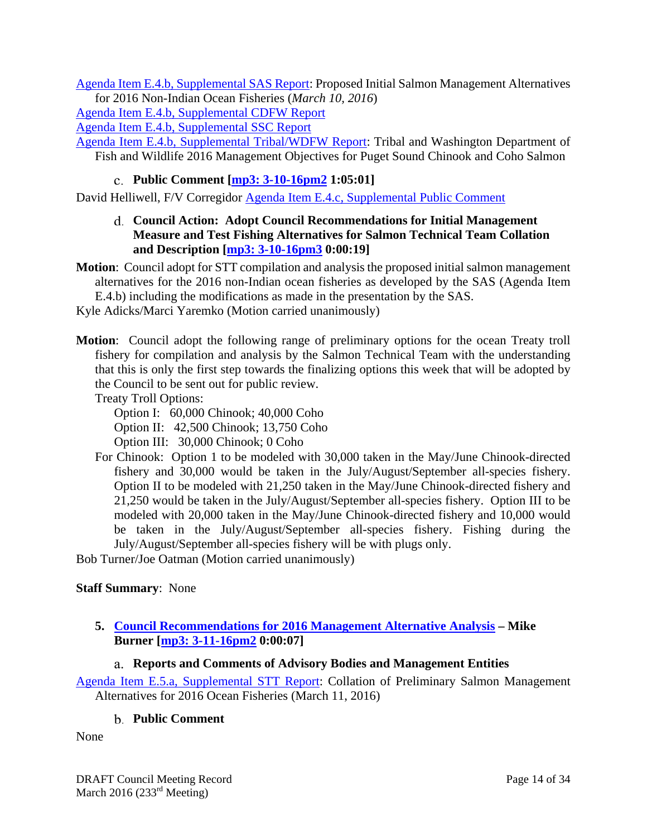Agenda Item E.4.b, Supplemental SAS Report: Proposed Initial Salmon Management Alternatives for 2016 Non-Indian Ocean Fisheries (*March 10, 2016*)

Agenda Item E.4.b, Supplemental CDFW Report

Agenda Item E.4.b, Supplemental SSC Report

Agenda Item E.4.b, Supplemental Tribal/WDFW Report: Tribal and Washington Department of Fish and Wildlife 2016 Management Objectives for Puget Sound Chinook and Coho Salmon

# **Public Comment [mp3: 3-10-16pm2 1:05:01]**

David Helliwell, F/V Corregidor Agenda Item E.4.c, Supplemental Public Comment

**Council Action: Adopt Council Recommendations for Initial Management Measure and Test Fishing Alternatives for Salmon Technical Team Collation and Description [mp3: 3-10-16pm3 0:00:19]** 

**Motion**: Council adopt for STT compilation and analysis the proposed initial salmon management alternatives for the 2016 non-Indian ocean fisheries as developed by the SAS (Agenda Item E.4.b) including the modifications as made in the presentation by the SAS.

Kyle Adicks/Marci Yaremko (Motion carried unanimously)

**Motion**: Council adopt the following range of preliminary options for the ocean Treaty troll fishery for compilation and analysis by the Salmon Technical Team with the understanding that this is only the first step towards the finalizing options this week that will be adopted by the Council to be sent out for public review.

Treaty Troll Options:

Option I: 60,000 Chinook; 40,000 Coho

Option II: 42,500 Chinook; 13,750 Coho

Option III: 30,000 Chinook; 0 Coho

For Chinook: Option 1 to be modeled with 30,000 taken in the May/June Chinook-directed fishery and 30,000 would be taken in the July/August/September all-species fishery. Option II to be modeled with 21,250 taken in the May/June Chinook-directed fishery and 21,250 would be taken in the July/August/September all-species fishery. Option III to be modeled with 20,000 taken in the May/June Chinook-directed fishery and 10,000 would be taken in the July/August/September all-species fishery. Fishing during the July/August/September all-species fishery will be with plugs only.

Bob Turner/Joe Oatman (Motion carried unanimously)

### **Staff Summary**: None

### **5. Council Recommendations for 2016 Management Alternative Analysis – Mike Burner [mp3: 3-11-16pm2 0:00:07]**

### **Reports and Comments of Advisory Bodies and Management Entities**

Agenda Item E.5.a, Supplemental STT Report: Collation of Preliminary Salmon Management Alternatives for 2016 Ocean Fisheries (March 11, 2016)

#### **Public Comment**

None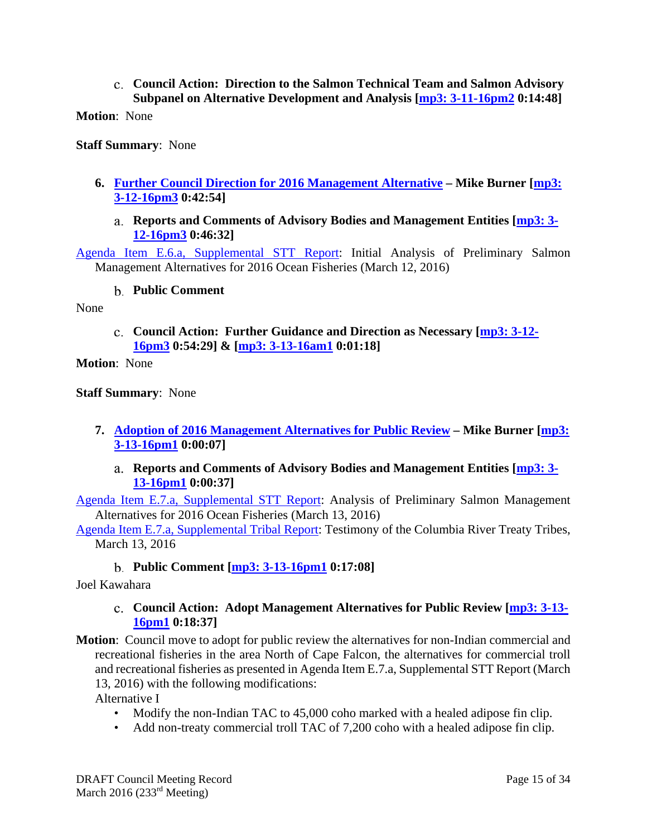#### **Council Action: Direction to the Salmon Technical Team and Salmon Advisory Subpanel on Alternative Development and Analysis [mp3: 3-11-16pm2 0:14:48]**

**Motion**: None

**Staff Summary**: None

#### **6. Further Council Direction for 2016 Management Alternative – Mike Burner [mp3: 3-12-16pm3 0:42:54]**

**Reports and Comments of Advisory Bodies and Management Entities [mp3: 3- 12-16pm3 0:46:32]** 

Agenda Item E.6.a, Supplemental STT Report: Initial Analysis of Preliminary Salmon Management Alternatives for 2016 Ocean Fisheries (March 12, 2016)

#### **Public Comment**

None

**Council Action: Further Guidance and Direction as Necessary [mp3: 3-12- 16pm3 0:54:29] & [mp3: 3-13-16am1 0:01:18]** 

**Motion**: None

**Staff Summary**: None

- **7. Adoption of 2016 Management Alternatives for Public Review Mike Burner [mp3: 3-13-16pm1 0:00:07]** 
	- **Reports and Comments of Advisory Bodies and Management Entities [mp3: 3- 13-16pm1 0:00:37]**

Agenda Item E.7.a, Supplemental STT Report: Analysis of Preliminary Salmon Management Alternatives for 2016 Ocean Fisheries (March 13, 2016)

Agenda Item E.7.a, Supplemental Tribal Report: Testimony of the Columbia River Treaty Tribes, March 13, 2016

#### **Public Comment [mp3: 3-13-16pm1 0:17:08]**

Joel Kawahara

#### **Council Action: Adopt Management Alternatives for Public Review [mp3: 3-13- 16pm1 0:18:37]**

- **Motion**: Council move to adopt for public review the alternatives for non-Indian commercial and recreational fisheries in the area North of Cape Falcon, the alternatives for commercial troll and recreational fisheries as presented in Agenda Item E.7.a, Supplemental STT Report (March 13, 2016) with the following modifications: Alternative I
	- Modify the non-Indian TAC to 45,000 coho marked with a healed adipose fin clip.
	- Add non-treaty commercial troll TAC of 7,200 coho with a healed adipose fin clip.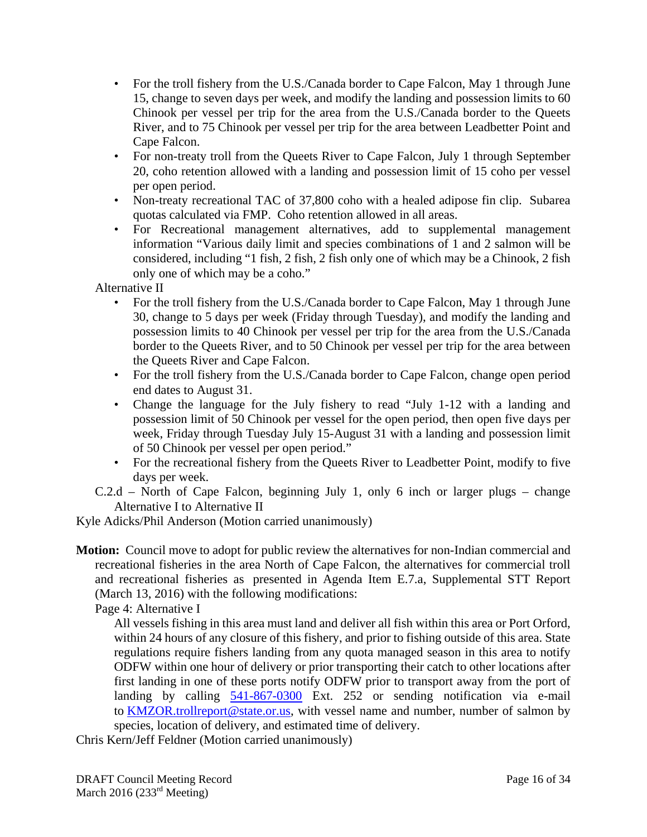- For the troll fishery from the U.S./Canada border to Cape Falcon, May 1 through June 15, change to seven days per week, and modify the landing and possession limits to 60 Chinook per vessel per trip for the area from the U.S./Canada border to the Queets River, and to 75 Chinook per vessel per trip for the area between Leadbetter Point and Cape Falcon.
- For non-treaty troll from the Queets River to Cape Falcon, July 1 through September 20, coho retention allowed with a landing and possession limit of 15 coho per vessel per open period.
- Non-treaty recreational TAC of 37,800 coho with a healed adipose fin clip. Subarea quotas calculated via FMP. Coho retention allowed in all areas.
- For Recreational management alternatives, add to supplemental management information "Various daily limit and species combinations of 1 and 2 salmon will be considered, including "1 fish, 2 fish, 2 fish only one of which may be a Chinook, 2 fish only one of which may be a coho."

Alternative II

- For the troll fishery from the U.S./Canada border to Cape Falcon, May 1 through June 30, change to 5 days per week (Friday through Tuesday), and modify the landing and possession limits to 40 Chinook per vessel per trip for the area from the U.S./Canada border to the Queets River, and to 50 Chinook per vessel per trip for the area between the Queets River and Cape Falcon.
- For the troll fishery from the U.S./Canada border to Cape Falcon, change open period end dates to August 31.
- Change the language for the July fishery to read "July 1-12 with a landing and possession limit of 50 Chinook per vessel for the open period, then open five days per week, Friday through Tuesday July 15-August 31 with a landing and possession limit of 50 Chinook per vessel per open period."
- For the recreational fishery from the Queets River to Leadbetter Point, modify to five days per week.
- C.2.d North of Cape Falcon, beginning July 1, only 6 inch or larger plugs change Alternative I to Alternative II

Kyle Adicks/Phil Anderson (Motion carried unanimously)

**Motion:** Council move to adopt for public review the alternatives for non-Indian commercial and recreational fisheries in the area North of Cape Falcon, the alternatives for commercial troll and recreational fisheries as presented in Agenda Item E.7.a, Supplemental STT Report (March 13, 2016) with the following modifications:

Page 4: Alternative I

 All vessels fishing in this area must land and deliver all fish within this area or Port Orford, within 24 hours of any closure of this fishery, and prior to fishing outside of this area. State regulations require fishers landing from any quota managed season in this area to notify ODFW within one hour of delivery or prior transporting their catch to other locations after first landing in one of these ports notify ODFW prior to transport away from the port of landing by calling 541-867-0300 Ext. 252 or sending notification via e-mail to KMZOR.trollreport@state.or.us, with vessel name and number, number of salmon by species, location of delivery, and estimated time of delivery.

Chris Kern/Jeff Feldner (Motion carried unanimously)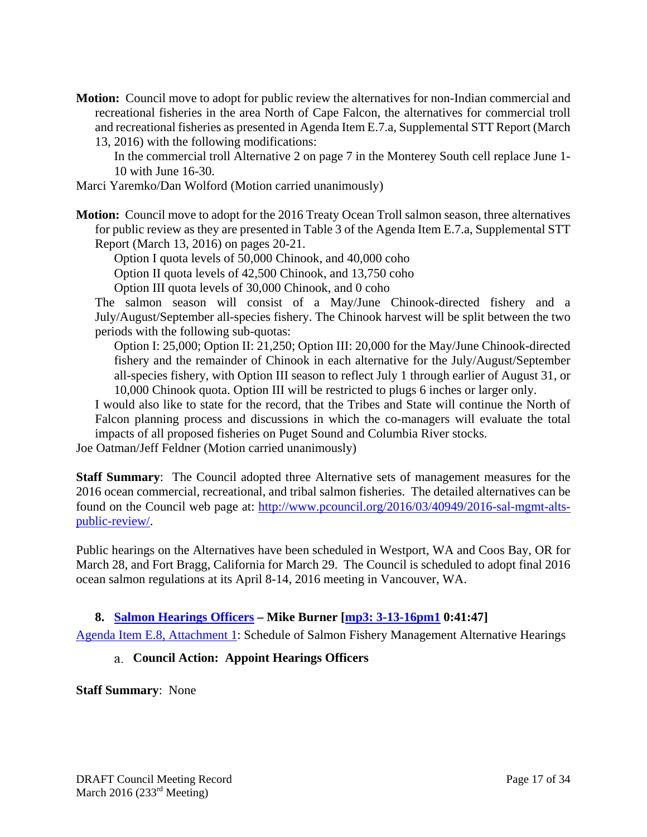**Motion:** Council move to adopt for public review the alternatives for non-Indian commercial and recreational fisheries in the area North of Cape Falcon, the alternatives for commercial troll and recreational fisheries as presented in Agenda Item E.7.a, Supplemental STT Report (March 13, 2016) with the following modifications:

In the commercial troll Alternative 2 on page 7 in the Monterey South cell replace June 1- 10 with June 16-30.

- Marci Yaremko/Dan Wolford (Motion carried unanimously)
- **Motion:** Council move to adopt for the 2016 Treaty Ocean Troll salmon season, three alternatives for public review as they are presented in Table 3 of the Agenda Item E.7.a, Supplemental STT Report (March 13, 2016) on pages 20-21.

Option I quota levels of 50,000 Chinook, and 40,000 coho Option II quota levels of 42,500 Chinook, and 13,750 coho Option III quota levels of 30,000 Chinook, and 0 coho

The salmon season will consist of a May/June Chinook-directed fishery and a July/August/September all-species fishery. The Chinook harvest will be split between the two periods with the following sub-quotas:

Option I: 25,000; Option II: 21,250; Option III: 20,000 for the May/June Chinook-directed fishery and the remainder of Chinook in each alternative for the July/August/September all-species fishery, with Option III season to reflect July 1 through earlier of August 31, or 10,000 Chinook quota. Option III will be restricted to plugs 6 inches or larger only.

I would also like to state for the record, that the Tribes and State will continue the North of Falcon planning process and discussions in which the co-managers will evaluate the total impacts of all proposed fisheries on Puget Sound and Columbia River stocks.

Joe Oatman/Jeff Feldner (Motion carried unanimously)

**Staff Summary**: The Council adopted three Alternative sets of management measures for the 2016 ocean commercial, recreational, and tribal salmon fisheries. The detailed alternatives can be found on the Council web page at: http://www.pcouncil.org/2016/03/40949/2016-sal-mgmt-altspublic-review/.

Public hearings on the Alternatives have been scheduled in Westport, WA and Coos Bay, OR for March 28, and Fort Bragg, California for March 29. The Council is scheduled to adopt final 2016 ocean salmon regulations at its April 8-14, 2016 meeting in Vancouver, WA.

### **8. Salmon Hearings Officers – Mike Burner [mp3: 3-13-16pm1 0:41:47]**

Agenda Item E.8, Attachment 1: Schedule of Salmon Fishery Management Alternative Hearings

### **Council Action: Appoint Hearings Officers**

**Staff Summary**: None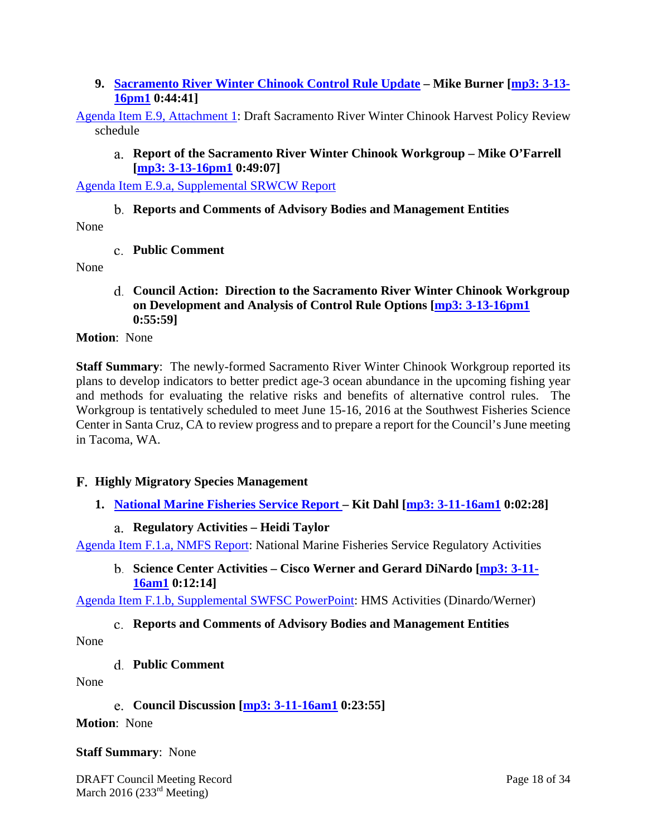**9. Sacramento River Winter Chinook Control Rule Update – Mike Burner [mp3: 3-13- 16pm1 0:44:41]** 

Agenda Item E.9, Attachment 1: Draft Sacramento River Winter Chinook Harvest Policy Review schedule

**Report of the Sacramento River Winter Chinook Workgroup – Mike O'Farrell [mp3: 3-13-16pm1 0:49:07]** 

Agenda Item E.9.a, Supplemental SRWCW Report

#### **Reports and Comments of Advisory Bodies and Management Entities**

None

**Public Comment** 

None

**Council Action: Direction to the Sacramento River Winter Chinook Workgroup on Development and Analysis of Control Rule Options [mp3: 3-13-16pm1 0:55:59]** 

**Motion**: None

**Staff Summary**: The newly-formed Sacramento River Winter Chinook Workgroup reported its plans to develop indicators to better predict age-3 ocean abundance in the upcoming fishing year and methods for evaluating the relative risks and benefits of alternative control rules. The Workgroup is tentatively scheduled to meet June 15-16, 2016 at the Southwest Fisheries Science Center in Santa Cruz, CA to review progress and to prepare a report for the Council's June meeting in Tacoma, WA.

#### **Highly Migratory Species Management**

**1. National Marine Fisheries Service Report – Kit Dahl [mp3: 3-11-16am1 0:02:28]** 

#### **Regulatory Activities – Heidi Taylor**

Agenda Item F.1.a, NMFS Report: National Marine Fisheries Service Regulatory Activities

**Science Center Activities – Cisco Werner and Gerard DiNardo [mp3: 3-11- 16am1 0:12:14]** 

Agenda Item F.1.b, Supplemental SWFSC PowerPoint: HMS Activities (Dinardo/Werner)

### **Reports and Comments of Advisory Bodies and Management Entities**

None

**Public Comment** 

None

**Council Discussion [mp3: 3-11-16am1 0:23:55]** 

**Motion**: None

#### **Staff Summary**: None

DRAFT Council Meeting Record Page 18 of 34 March 2016 (233 $rd$  Meeting)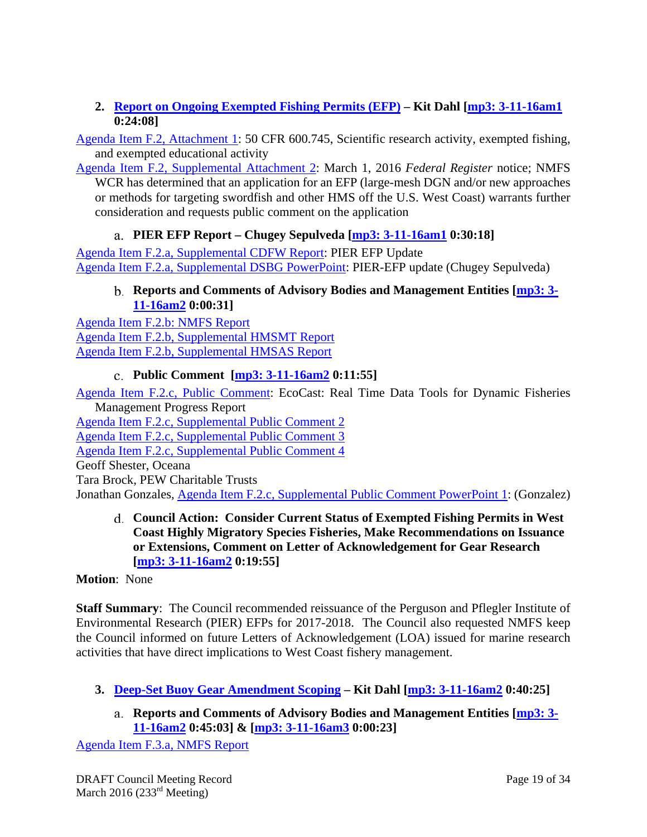### **2. Report on Ongoing Exempted Fishing Permits (EFP) – Kit Dahl [mp3: 3-11-16am1 0:24:08]**

Agenda Item F.2, Attachment 1: 50 CFR 600.745, Scientific research activity, exempted fishing, and exempted educational activity

Agenda Item F.2, Supplemental Attachment 2: March 1, 2016 *Federal Register* notice; NMFS WCR has determined that an application for an EFP (large-mesh DGN and/or new approaches or methods for targeting swordfish and other HMS off the U.S. West Coast) warrants further consideration and requests public comment on the application

# **PIER EFP Report – Chugey Sepulveda [mp3: 3-11-16am1 0:30:18]**

Agenda Item F.2.a, Supplemental CDFW Report: PIER EFP Update Agenda Item F.2.a, Supplemental DSBG PowerPoint: PIER-EFP update (Chugey Sepulveda)

### **Reports and Comments of Advisory Bodies and Management Entities [mp3: 3- 11-16am2 0:00:31]**

Agenda Item F.2.b: NMFS Report Agenda Item F.2.b, Supplemental HMSMT Report Agenda Item F.2.b, Supplemental HMSAS Report

# **Public Comment [mp3: 3-11-16am2 0:11:55]**

Agenda Item F.2.c, Public Comment: EcoCast: Real Time Data Tools for Dynamic Fisheries Management Progress Report

Agenda Item F.2.c, Supplemental Public Comment 2

Agenda Item F.2.c, Supplemental Public Comment 3

Agenda Item F.2.c, Supplemental Public Comment 4

Geoff Shester, Oceana

Tara Brock, PEW Charitable Trusts

Jonathan Gonzales, Agenda Item F.2.c, Supplemental Public Comment PowerPoint 1: (Gonzalez)

**Council Action: Consider Current Status of Exempted Fishing Permits in West Coast Highly Migratory Species Fisheries, Make Recommendations on Issuance or Extensions, Comment on Letter of Acknowledgement for Gear Research [mp3: 3-11-16am2 0:19:55]** 

### **Motion**: None

**Staff Summary**: The Council recommended reissuance of the Perguson and Pflegler Institute of Environmental Research (PIER) EFPs for 2017-2018. The Council also requested NMFS keep the Council informed on future Letters of Acknowledgement (LOA) issued for marine research activities that have direct implications to West Coast fishery management.

- **3. Deep-Set Buoy Gear Amendment Scoping Kit Dahl [mp3: 3-11-16am2 0:40:25]** 
	- **Reports and Comments of Advisory Bodies and Management Entities [mp3: 3- 11-16am2 0:45:03] & [mp3: 3-11-16am3 0:00:23]**

Agenda Item F.3.a, NMFS Report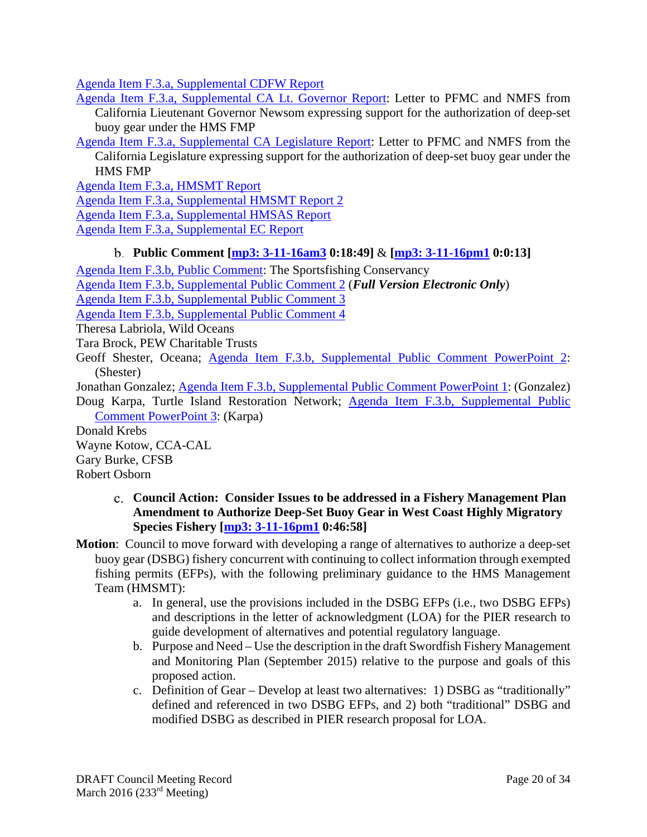Agenda Item F.3.a, Supplemental CDFW Report

Agenda Item F.3.a, Supplemental CA Lt. Governor Report: Letter to PFMC and NMFS from California Lieutenant Governor Newsom expressing support for the authorization of deep-set buoy gear under the HMS FMP

Agenda Item F.3.a, Supplemental CA Legislature Report: Letter to PFMC and NMFS from the California Legislature expressing support for the authorization of deep-set buoy gear under the HMS FMP

Agenda Item F.3.a, HMSMT Report

Agenda Item F.3.a, Supplemental HMSMT Report 2

Agenda Item F.3.a, Supplemental HMSAS Report

Agenda Item F.3.a, Supplemental EC Report

### **Public Comment [mp3: 3-11-16am3 0:18:49]** & **[mp3: 3-11-16pm1 0:0:13]**

Agenda Item F.3.b, Public Comment: The Sportsfishing Conservancy Agenda Item F.3.b, Supplemental Public Comment 2 (*Full Version Electronic Only*) Agenda Item F.3.b, Supplemental Public Comment 3 Agenda Item F.3.b, Supplemental Public Comment 4 Theresa Labriola, Wild Oceans Tara Brock, PEW Charitable Trusts Geoff Shester, Oceana; Agenda Item F.3.b, Supplemental Public Comment PowerPoint 2: (Shester) Jonathan Gonzalez; Agenda Item F.3.b, Supplemental Public Comment PowerPoint 1: (Gonzalez) Doug Karpa, Turtle Island Restoration Network; Agenda Item F.3.b, Supplemental Public Comment PowerPoint 3: (Karpa) Donald Krebs

Wayne Kotow, CCA-CAL Gary Burke, CFSB Robert Osborn

> **Council Action: Consider Issues to be addressed in a Fishery Management Plan Amendment to Authorize Deep-Set Buoy Gear in West Coast Highly Migratory Species Fishery [mp3: 3-11-16pm1 0:46:58]**

**Motion**: Council to move forward with developing a range of alternatives to authorize a deep-set buoy gear (DSBG) fishery concurrent with continuing to collect information through exempted fishing permits (EFPs), with the following preliminary guidance to the HMS Management Team (HMSMT):

- a. In general, use the provisions included in the DSBG EFPs (i.e., two DSBG EFPs) and descriptions in the letter of acknowledgment (LOA) for the PIER research to guide development of alternatives and potential regulatory language.
- b. Purpose and Need Use the description in the draft Swordfish Fishery Management and Monitoring Plan (September 2015) relative to the purpose and goals of this proposed action.
- c. Definition of Gear Develop at least two alternatives: 1) DSBG as "traditionally" defined and referenced in two DSBG EFPs, and 2) both "traditional" DSBG and modified DSBG as described in PIER research proposal for LOA.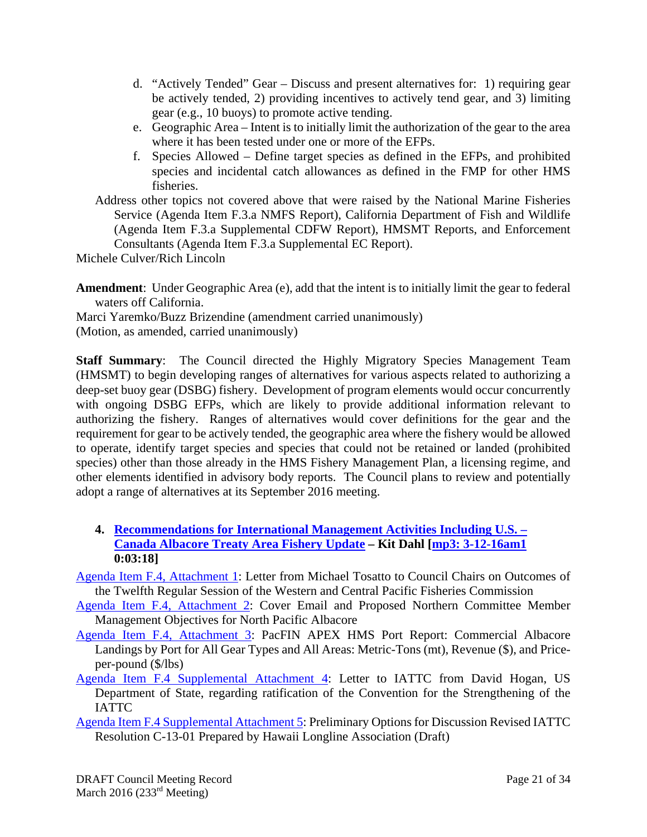- d. "Actively Tended" Gear Discuss and present alternatives for: 1) requiring gear be actively tended, 2) providing incentives to actively tend gear, and 3) limiting gear (e.g., 10 buoys) to promote active tending.
- e. Geographic Area Intent is to initially limit the authorization of the gear to the area where it has been tested under one or more of the EFPs.
- f. Species Allowed Define target species as defined in the EFPs, and prohibited species and incidental catch allowances as defined in the FMP for other HMS fisheries.

Address other topics not covered above that were raised by the National Marine Fisheries Service (Agenda Item F.3.a NMFS Report), California Department of Fish and Wildlife (Agenda Item F.3.a Supplemental CDFW Report), HMSMT Reports, and Enforcement Consultants (Agenda Item F.3.a Supplemental EC Report).

Michele Culver/Rich Lincoln

**Amendment**: Under Geographic Area (e), add that the intent is to initially limit the gear to federal waters off California.

Marci Yaremko/Buzz Brizendine (amendment carried unanimously)

(Motion, as amended, carried unanimously)

**Staff Summary**: The Council directed the Highly Migratory Species Management Team (HMSMT) to begin developing ranges of alternatives for various aspects related to authorizing a deep-set buoy gear (DSBG) fishery. Development of program elements would occur concurrently with ongoing DSBG EFPs, which are likely to provide additional information relevant to authorizing the fishery. Ranges of alternatives would cover definitions for the gear and the requirement for gear to be actively tended, the geographic area where the fishery would be allowed to operate, identify target species and species that could not be retained or landed (prohibited species) other than those already in the HMS Fishery Management Plan, a licensing regime, and other elements identified in advisory body reports. The Council plans to review and potentially adopt a range of alternatives at its September 2016 meeting.

**4. Recommendations for International Management Activities Including U.S. – Canada Albacore Treaty Area Fishery Update – Kit Dahl [mp3: 3-12-16am1 0:03:18]** 

Agenda Item F.4, Attachment 1: Letter from Michael Tosatto to Council Chairs on Outcomes of the Twelfth Regular Session of the Western and Central Pacific Fisheries Commission

Agenda Item F.4, Attachment 2: Cover Email and Proposed Northern Committee Member Management Objectives for North Pacific Albacore

- Agenda Item F.4, Attachment 3: PacFIN APEX HMS Port Report: Commercial Albacore Landings by Port for All Gear Types and All Areas: Metric-Tons (mt), Revenue (\$), and Priceper-pound (\$/lbs)
- Agenda Item F.4 Supplemental Attachment 4: Letter to IATTC from David Hogan, US Department of State, regarding ratification of the Convention for the Strengthening of the IATTC
- Agenda Item F.4 Supplemental Attachment 5: Preliminary Options for Discussion Revised IATTC Resolution C-13-01 Prepared by Hawaii Longline Association (Draft)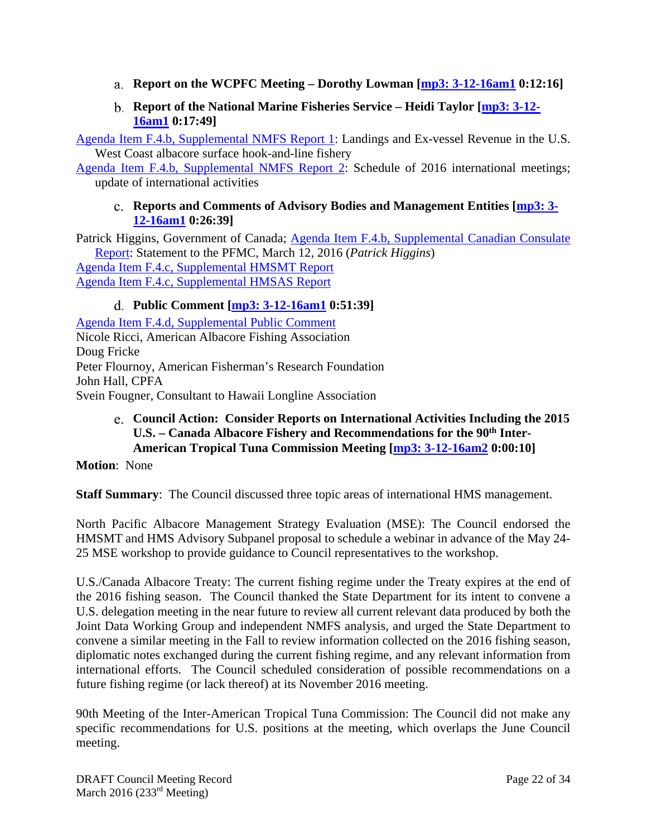- **Report on the WCPFC Meeting Dorothy Lowman [mp3: 3-12-16am1 0:12:16]**
- **Report of the National Marine Fisheries Service Heidi Taylor [mp3: 3-12- 16am1 0:17:49]**

Agenda Item F.4.b, Supplemental NMFS Report 1: Landings and Ex-vessel Revenue in the U.S. West Coast albacore surface hook-and-line fishery

Agenda Item F.4.b, Supplemental NMFS Report 2: Schedule of 2016 international meetings; update of international activities

### **Reports and Comments of Advisory Bodies and Management Entities [mp3: 3- 12-16am1 0:26:39]**

Patrick Higgins, Government of Canada; Agenda Item F.4.b, Supplemental Canadian Consulate Report: Statement to the PFMC, March 12, 2016 (*Patrick Higgins*) Agenda Item F.4.c, Supplemental HMSMT Report Agenda Item F.4.c, Supplemental HMSAS Report

# **Public Comment [mp3: 3-12-16am1 0:51:39]**

Agenda Item F.4.d, Supplemental Public Comment Nicole Ricci, American Albacore Fishing Association Doug Fricke Peter Flournoy, American Fisherman's Research Foundation John Hall, CPFA Svein Fougner, Consultant to Hawaii Longline Association

# **Council Action: Consider Reports on International Activities Including the 2015**  U.S. – Canada Albacore Fishery and Recommendations for the 90<sup>th</sup> Inter-**American Tropical Tuna Commission Meeting [mp3: 3-12-16am2 0:00:10]**

**Motion**: None

**Staff Summary**: The Council discussed three topic areas of international HMS management.

North Pacific Albacore Management Strategy Evaluation (MSE): The Council endorsed the HMSMT and HMS Advisory Subpanel proposal to schedule a webinar in advance of the May 24- 25 MSE workshop to provide guidance to Council representatives to the workshop.

U.S./Canada Albacore Treaty: The current fishing regime under the Treaty expires at the end of the 2016 fishing season. The Council thanked the State Department for its intent to convene a U.S. delegation meeting in the near future to review all current relevant data produced by both the Joint Data Working Group and independent NMFS analysis, and urged the State Department to convene a similar meeting in the Fall to review information collected on the 2016 fishing season, diplomatic notes exchanged during the current fishing regime, and any relevant information from international efforts. The Council scheduled consideration of possible recommendations on a future fishing regime (or lack thereof) at its November 2016 meeting.

90th Meeting of the Inter-American Tropical Tuna Commission: The Council did not make any specific recommendations for U.S. positions at the meeting, which overlaps the June Council meeting.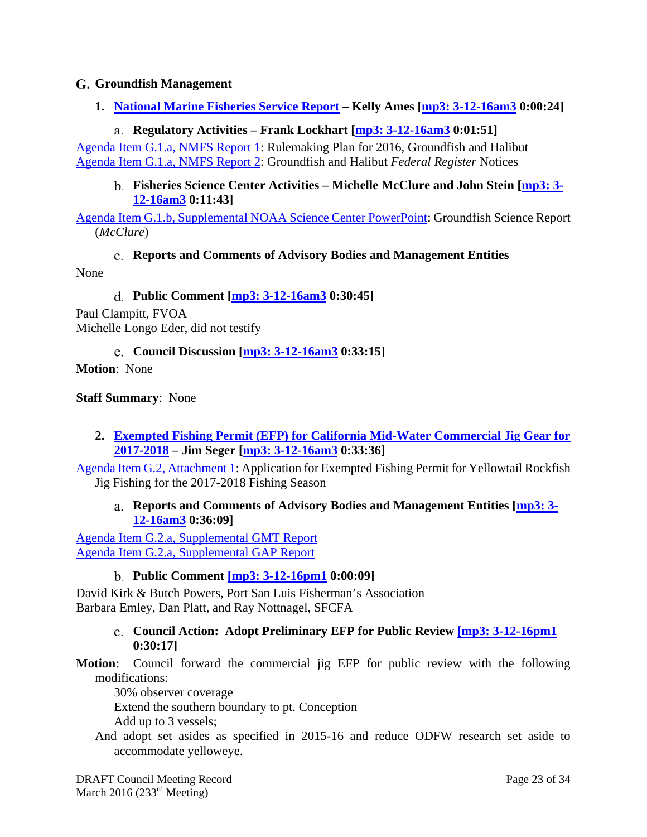### **Groundfish Management**

**1. National Marine Fisheries Service Report – Kelly Ames [mp3: 3-12-16am3 0:00:24]** 

### **Regulatory Activities – Frank Lockhart [mp3: 3-12-16am3 0:01:51]**

Agenda Item G.1.a, NMFS Report 1: Rulemaking Plan for 2016, Groundfish and Halibut Agenda Item G.1.a, NMFS Report 2: Groundfish and Halibut *Federal Register* Notices

#### **Fisheries Science Center Activities – Michelle McClure and John Stein [mp3: 3- 12-16am3 0:11:43]**

Agenda Item G.1.b, Supplemental NOAA Science Center PowerPoint: Groundfish Science Report (*McClure*)

**Reports and Comments of Advisory Bodies and Management Entities**  None

**Public Comment [mp3: 3-12-16am3 0:30:45]** 

Paul Clampitt, FVOA Michelle Longo Eder, did not testify

**Council Discussion [mp3: 3-12-16am3 0:33:15]** 

**Motion**: None

**Staff Summary**: None

**2. Exempted Fishing Permit (EFP) for California Mid-Water Commercial Jig Gear for 2017-2018 – Jim Seger [mp3: 3-12-16am3 0:33:36]** 

Agenda Item G.2, Attachment 1: Application for Exempted Fishing Permit for Yellowtail Rockfish Jig Fishing for the 2017-2018 Fishing Season

**Reports and Comments of Advisory Bodies and Management Entities [mp3: 3- 12-16am3 0:36:09]** 

Agenda Item G.2.a, Supplemental GMT Report Agenda Item G.2.a, Supplemental GAP Report

### **Public Comment [mp3: 3-12-16pm1 0:00:09]**

David Kirk & Butch Powers, Port San Luis Fisherman's Association Barbara Emley, Dan Platt, and Ray Nottnagel, SFCFA

#### **Council Action: Adopt Preliminary EFP for Public Review [mp3: 3-12-16pm1 0:30:17]**

**Motion**: Council forward the commercial jig EFP for public review with the following modifications:

30% observer coverage

Extend the southern boundary to pt. Conception

Add up to 3 vessels;

And adopt set asides as specified in 2015-16 and reduce ODFW research set aside to accommodate yelloweye.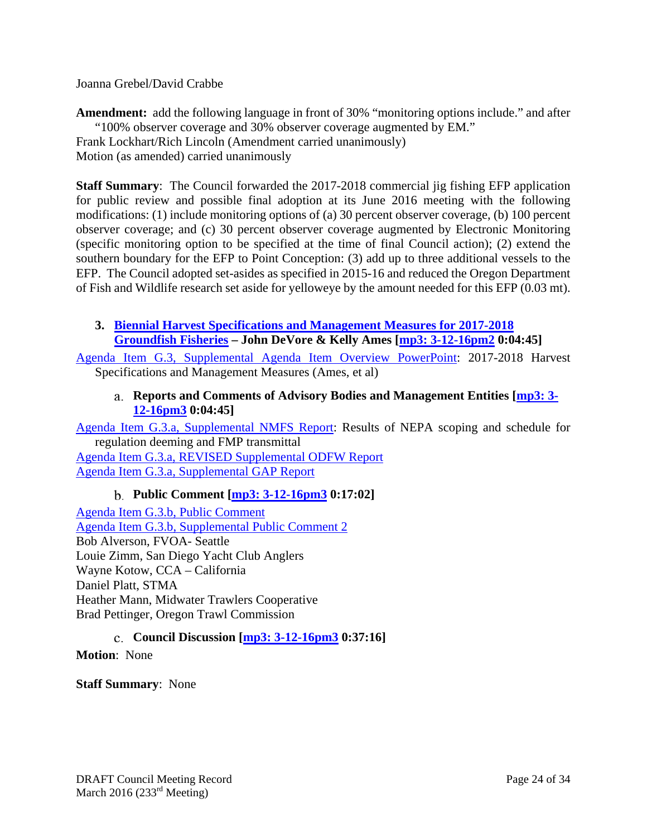#### Joanna Grebel/David Crabbe

**Amendment:** add the following language in front of 30% "monitoring options include." and after "100% observer coverage and 30% observer coverage augmented by EM." Frank Lockhart/Rich Lincoln (Amendment carried unanimously) Motion (as amended) carried unanimously

**Staff Summary**: The Council forwarded the 2017-2018 commercial jig fishing EFP application for public review and possible final adoption at its June 2016 meeting with the following modifications: (1) include monitoring options of (a) 30 percent observer coverage, (b) 100 percent observer coverage; and (c) 30 percent observer coverage augmented by Electronic Monitoring (specific monitoring option to be specified at the time of final Council action); (2) extend the southern boundary for the EFP to Point Conception: (3) add up to three additional vessels to the EFP. The Council adopted set-asides as specified in 2015-16 and reduced the Oregon Department of Fish and Wildlife research set aside for yelloweye by the amount needed for this EFP (0.03 mt).

### **3. Biennial Harvest Specifications and Management Measures for 2017-2018 Groundfish Fisheries – John DeVore & Kelly Ames [mp3: 3-12-16pm2 0:04:45]**

Agenda Item G.3, Supplemental Agenda Item Overview PowerPoint: 2017-2018 Harvest Specifications and Management Measures (Ames, et al)

### **Reports and Comments of Advisory Bodies and Management Entities [mp3: 3- 12-16pm3 0:04:45]**

Agenda Item G.3.a, Supplemental NMFS Report: Results of NEPA scoping and schedule for regulation deeming and FMP transmittal

Agenda Item G.3.a, REVISED Supplemental ODFW Report Agenda Item G.3.a, Supplemental GAP Report

### **Public Comment [mp3: 3-12-16pm3 0:17:02]**

Agenda Item G.3.b, Public Comment Agenda Item G.3.b, Supplemental Public Comment 2 Bob Alverson, FVOA- Seattle Louie Zimm, San Diego Yacht Club Anglers Wayne Kotow, CCA – California Daniel Platt, STMA Heather Mann, Midwater Trawlers Cooperative Brad Pettinger, Oregon Trawl Commission

### **Council Discussion [mp3: 3-12-16pm3 0:37:16]**

**Motion**: None

**Staff Summary**: None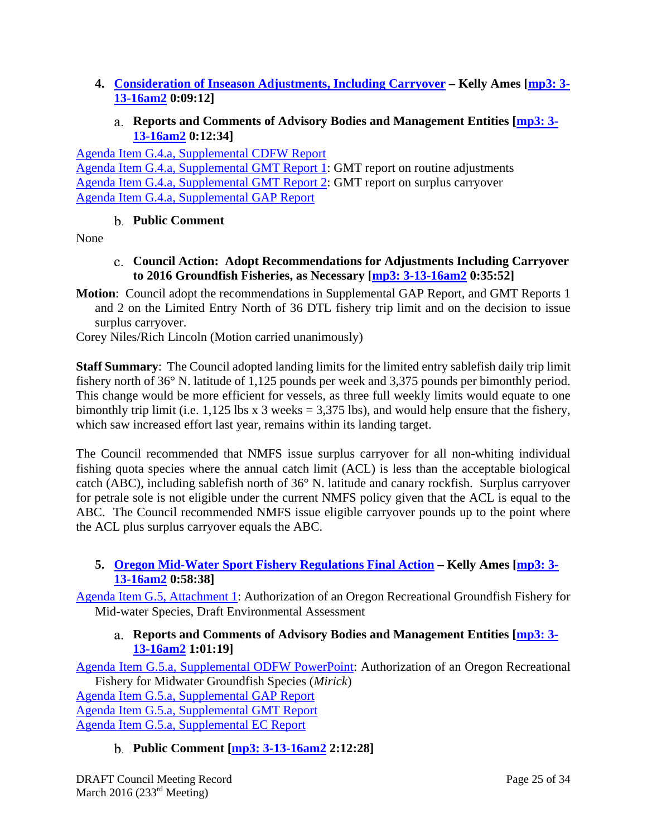- **4. Consideration of Inseason Adjustments, Including Carryover Kelly Ames [mp3: 3- 13-16am2 0:09:12]** 
	- **Reports and Comments of Advisory Bodies and Management Entities [mp3: 3- 13-16am2 0:12:34]**

Agenda Item G.4.a, Supplemental CDFW Report Agenda Item G.4.a, Supplemental GMT Report 1: GMT report on routine adjustments Agenda Item G.4.a, Supplemental GMT Report 2: GMT report on surplus carryover Agenda Item G.4.a, Supplemental GAP Report

# **Public Comment**

None

- **Council Action: Adopt Recommendations for Adjustments Including Carryover to 2016 Groundfish Fisheries, as Necessary [mp3: 3-13-16am2 0:35:52]**
- **Motion**: Council adopt the recommendations in Supplemental GAP Report, and GMT Reports 1 and 2 on the Limited Entry North of 36 DTL fishery trip limit and on the decision to issue surplus carryover.

Corey Niles/Rich Lincoln (Motion carried unanimously)

**Staff Summary**: The Council adopted landing limits for the limited entry sablefish daily trip limit fishery north of 36° N. latitude of 1,125 pounds per week and 3,375 pounds per bimonthly period. This change would be more efficient for vessels, as three full weekly limits would equate to one bimonthly trip limit (i.e.  $1,125$  lbs x 3 weeks = 3,375 lbs), and would help ensure that the fishery, which saw increased effort last year, remains within its landing target.

The Council recommended that NMFS issue surplus carryover for all non-whiting individual fishing quota species where the annual catch limit (ACL) is less than the acceptable biological catch (ABC), including sablefish north of 36° N. latitude and canary rockfish. Surplus carryover for petrale sole is not eligible under the current NMFS policy given that the ACL is equal to the ABC. The Council recommended NMFS issue eligible carryover pounds up to the point where the ACL plus surplus carryover equals the ABC.

# **5. Oregon Mid-Water Sport Fishery Regulations Final Action – Kelly Ames [mp3: 3- 13-16am2 0:58:38]**

Agenda Item G.5, Attachment 1: Authorization of an Oregon Recreational Groundfish Fishery for Mid-water Species, Draft Environmental Assessment

### **Reports and Comments of Advisory Bodies and Management Entities [mp3: 3- 13-16am2 1:01:19]**

Agenda Item G.5.a, Supplemental ODFW PowerPoint: Authorization of an Oregon Recreational Fishery for Midwater Groundfish Species (*Mirick*)

Agenda Item G.5.a, Supplemental GAP Report Agenda Item G.5.a, Supplemental GMT Report Agenda Item G.5.a, Supplemental EC Report

**Public Comment [mp3: 3-13-16am2 2:12:28]**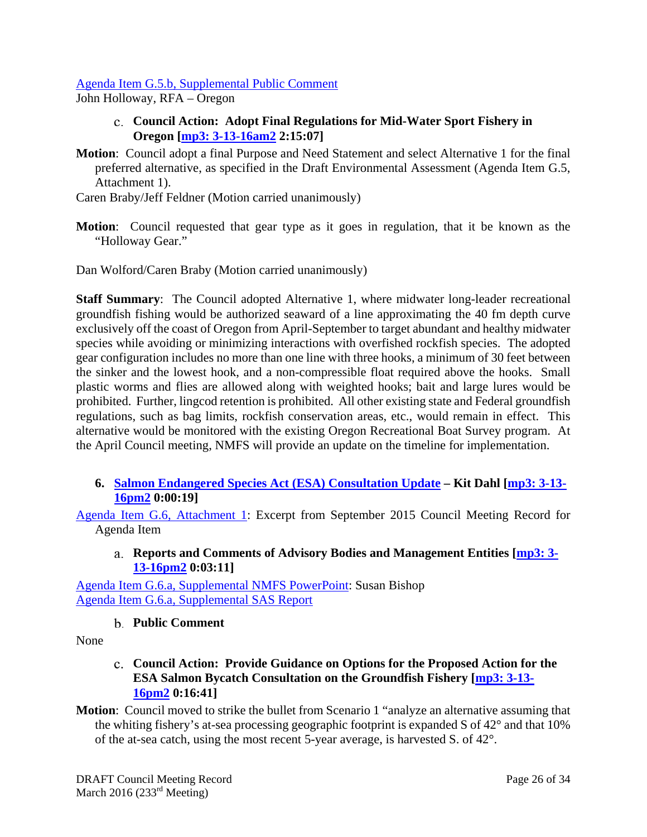#### Agenda Item G.5.b, Supplemental Public Comment

John Holloway, RFA – Oregon

- **Council Action: Adopt Final Regulations for Mid-Water Sport Fishery in Oregon [mp3: 3-13-16am2 2:15:07]**
- **Motion**: Council adopt a final Purpose and Need Statement and select Alternative 1 for the final preferred alternative, as specified in the Draft Environmental Assessment (Agenda Item G.5, Attachment 1).
- Caren Braby/Jeff Feldner (Motion carried unanimously)
- **Motion**: Council requested that gear type as it goes in regulation, that it be known as the "Holloway Gear."

Dan Wolford/Caren Braby (Motion carried unanimously)

**Staff Summary**: The Council adopted Alternative 1, where midwater long-leader recreational groundfish fishing would be authorized seaward of a line approximating the 40 fm depth curve exclusively off the coast of Oregon from April-September to target abundant and healthy midwater species while avoiding or minimizing interactions with overfished rockfish species. The adopted gear configuration includes no more than one line with three hooks, a minimum of 30 feet between the sinker and the lowest hook, and a non-compressible float required above the hooks. Small plastic worms and flies are allowed along with weighted hooks; bait and large lures would be prohibited. Further, lingcod retention is prohibited. All other existing state and Federal groundfish regulations, such as bag limits, rockfish conservation areas, etc., would remain in effect. This alternative would be monitored with the existing Oregon Recreational Boat Survey program. At the April Council meeting, NMFS will provide an update on the timeline for implementation.

**6. Salmon Endangered Species Act (ESA) Consultation Update – Kit Dahl [mp3: 3-13- 16pm2 0:00:19]** 

Agenda Item G.6, Attachment 1: Excerpt from September 2015 Council Meeting Record for Agenda Item

**Reports and Comments of Advisory Bodies and Management Entities [mp3: 3- 13-16pm2 0:03:11]** 

Agenda Item G.6.a, Supplemental NMFS PowerPoint: Susan Bishop Agenda Item G.6.a, Supplemental SAS Report

#### **Public Comment**

None

#### **Council Action: Provide Guidance on Options for the Proposed Action for the ESA Salmon Bycatch Consultation on the Groundfish Fishery [mp3: 3-13- 16pm2 0:16:41]**

**Motion**: Council moved to strike the bullet from Scenario 1 "analyze an alternative assuming that the whiting fishery's at-sea processing geographic footprint is expanded S of 42° and that 10% of the at-sea catch, using the most recent 5-year average, is harvested S. of 42°.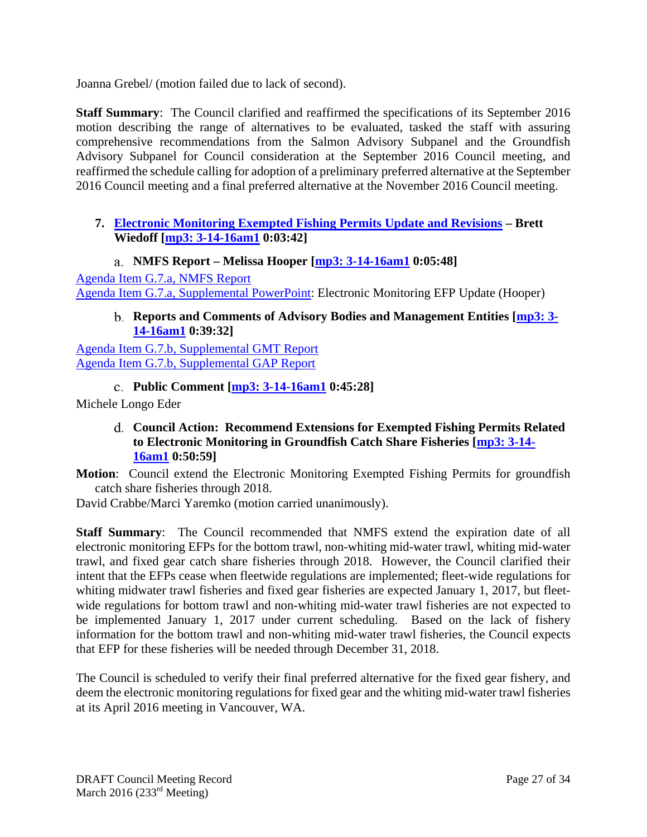Joanna Grebel/ (motion failed due to lack of second).

**Staff Summary**: The Council clarified and reaffirmed the specifications of its September 2016 motion describing the range of alternatives to be evaluated, tasked the staff with assuring comprehensive recommendations from the Salmon Advisory Subpanel and the Groundfish Advisory Subpanel for Council consideration at the September 2016 Council meeting, and reaffirmed the schedule calling for adoption of a preliminary preferred alternative at the September 2016 Council meeting and a final preferred alternative at the November 2016 Council meeting.

# **7. Electronic Monitoring Exempted Fishing Permits Update and Revisions – Brett Wiedoff [mp3: 3-14-16am1 0:03:42]**

**NMFS Report – Melissa Hooper [mp3: 3-14-16am1 0:05:48]** 

Agenda Item G.7.a, NMFS Report Agenda Item G.7.a, Supplemental PowerPoint: Electronic Monitoring EFP Update (Hooper)

# **Reports and Comments of Advisory Bodies and Management Entities [mp3: 3- 14-16am1 0:39:32]**

Agenda Item G.7.b, Supplemental GMT Report Agenda Item G.7.b, Supplemental GAP Report

**Public Comment [mp3: 3-14-16am1 0:45:28]** 

Michele Longo Eder

**Council Action: Recommend Extensions for Exempted Fishing Permits Related to Electronic Monitoring in Groundfish Catch Share Fisheries [mp3: 3-14- 16am1 0:50:59]** 

**Motion**: Council extend the Electronic Monitoring Exempted Fishing Permits for groundfish catch share fisheries through 2018.

David Crabbe/Marci Yaremko (motion carried unanimously).

**Staff Summary**: The Council recommended that NMFS extend the expiration date of all electronic monitoring EFPs for the bottom trawl, non-whiting mid-water trawl, whiting mid-water trawl, and fixed gear catch share fisheries through 2018. However, the Council clarified their intent that the EFPs cease when fleetwide regulations are implemented; fleet-wide regulations for whiting midwater trawl fisheries and fixed gear fisheries are expected January 1, 2017, but fleetwide regulations for bottom trawl and non-whiting mid-water trawl fisheries are not expected to be implemented January 1, 2017 under current scheduling. Based on the lack of fishery information for the bottom trawl and non-whiting mid-water trawl fisheries, the Council expects that EFP for these fisheries will be needed through December 31, 2018.

The Council is scheduled to verify their final preferred alternative for the fixed gear fishery, and deem the electronic monitoring regulations for fixed gear and the whiting mid-water trawl fisheries at its April 2016 meeting in Vancouver, WA.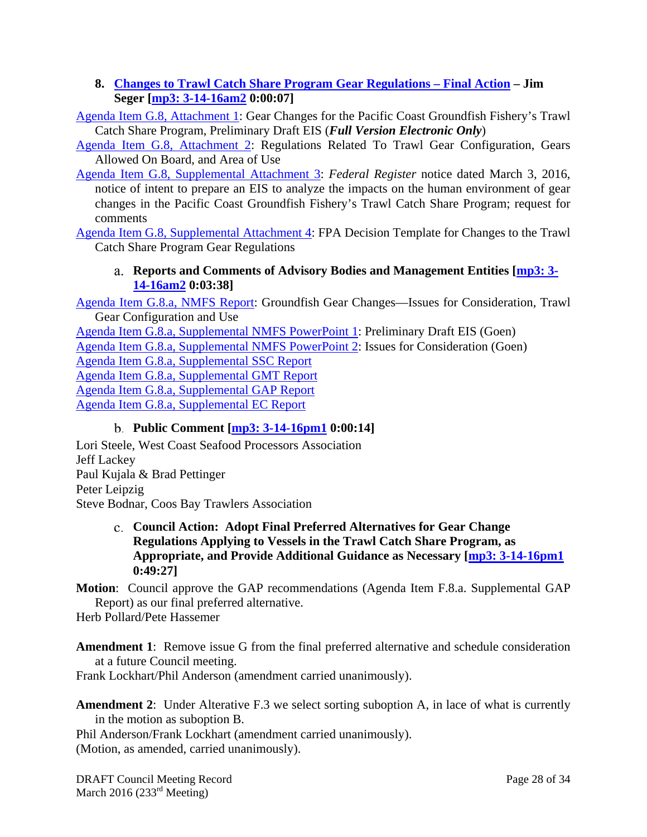### **8. Changes to Trawl Catch Share Program Gear Regulations – Final Action – Jim Seger [mp3: 3-14-16am2 0:00:07]**

Agenda Item G.8, Attachment 1: Gear Changes for the Pacific Coast Groundfish Fishery's Trawl Catch Share Program, Preliminary Draft EIS (*Full Version Electronic Only*)

Agenda Item G.8, Attachment 2: Regulations Related To Trawl Gear Configuration, Gears Allowed On Board, and Area of Use

Agenda Item G.8, Supplemental Attachment 3: *Federal Register* notice dated March 3, 2016, notice of intent to prepare an EIS to analyze the impacts on the human environment of gear changes in the Pacific Coast Groundfish Fishery's Trawl Catch Share Program; request for comments

Agenda Item G.8, Supplemental Attachment 4: FPA Decision Template for Changes to the Trawl Catch Share Program Gear Regulations

### **Reports and Comments of Advisory Bodies and Management Entities [mp3: 3- 14-16am2 0:03:38]**

Agenda Item G.8.a, NMFS Report: Groundfish Gear Changes—Issues for Consideration, Trawl Gear Configuration and Use

Agenda Item G.8.a, Supplemental NMFS PowerPoint 1: Preliminary Draft EIS (Goen) Agenda Item G.8.a, Supplemental NMFS PowerPoint 2: Issues for Consideration (Goen) Agenda Item G.8.a, Supplemental SSC Report Agenda Item G.8.a, Supplemental GMT Report Agenda Item G.8.a, Supplemental GAP Report Agenda Item G.8.a, Supplemental EC Report

### **Public Comment [mp3: 3-14-16pm1 0:00:14]**

Lori Steele, West Coast Seafood Processors Association Jeff Lackey Paul Kujala & Brad Pettinger Peter Leipzig Steve Bodnar, Coos Bay Trawlers Association

#### **Council Action: Adopt Final Preferred Alternatives for Gear Change Regulations Applying to Vessels in the Trawl Catch Share Program, as Appropriate, and Provide Additional Guidance as Necessary [mp3: 3-14-16pm1 0:49:27]**

**Motion**: Council approve the GAP recommendations (Agenda Item F.8.a. Supplemental GAP Report) as our final preferred alternative.

Herb Pollard/Pete Hassemer

**Amendment 1**: Remove issue G from the final preferred alternative and schedule consideration at a future Council meeting.

Frank Lockhart/Phil Anderson (amendment carried unanimously).

**Amendment 2:** Under Alterative F.3 we select sorting suboption A, in lace of what is currently in the motion as suboption B.

Phil Anderson/Frank Lockhart (amendment carried unanimously). (Motion, as amended, carried unanimously).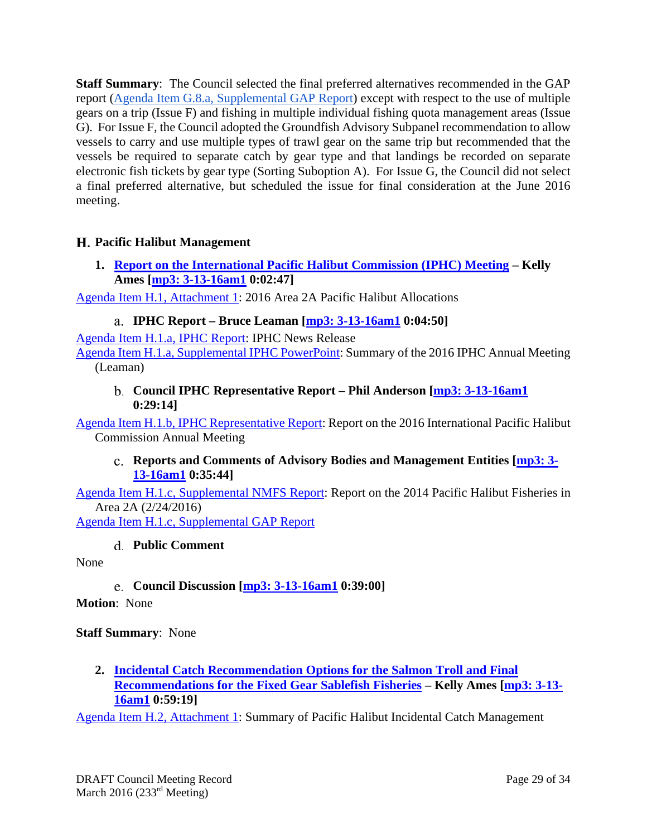**Staff Summary**: The Council selected the final preferred alternatives recommended in the GAP report (Agenda Item G.8.a, Supplemental GAP Report) except with respect to the use of multiple gears on a trip (Issue F) and fishing in multiple individual fishing quota management areas (Issue G). For Issue F, the Council adopted the Groundfish Advisory Subpanel recommendation to allow vessels to carry and use multiple types of trawl gear on the same trip but recommended that the vessels be required to separate catch by gear type and that landings be recorded on separate electronic fish tickets by gear type (Sorting Suboption A). For Issue G, the Council did not select a final preferred alternative, but scheduled the issue for final consideration at the June 2016 meeting.

# **Pacific Halibut Management**

**1. Report on the International Pacific Halibut Commission (IPHC) Meeting – Kelly Ames [mp3: 3-13-16am1 0:02:47]** 

Agenda Item H.1, Attachment 1: 2016 Area 2A Pacific Halibut Allocations

**IPHC Report – Bruce Leaman [mp3: 3-13-16am1 0:04:50]** 

Agenda Item H.1.a, IPHC Report: IPHC News Release

Agenda Item H.1.a, Supplemental IPHC PowerPoint: Summary of the 2016 IPHC Annual Meeting (Leaman)

**Council IPHC Representative Report – Phil Anderson [mp3: 3-13-16am1 0:29:14]** 

Agenda Item H.1.b, IPHC Representative Report: Report on the 2016 International Pacific Halibut Commission Annual Meeting

**Reports and Comments of Advisory Bodies and Management Entities [mp3: 3- 13-16am1 0:35:44]** 

Agenda Item H.1.c, Supplemental NMFS Report: Report on the 2014 Pacific Halibut Fisheries in Area 2A (2/24/2016)

Agenda Item H.1.c, Supplemental GAP Report

#### **Public Comment**

None

**Council Discussion [mp3: 3-13-16am1 0:39:00]** 

**Motion**: None

### **Staff Summary**: None

**2. Incidental Catch Recommendation Options for the Salmon Troll and Final Recommendations for the Fixed Gear Sablefish Fisheries – Kelly Ames [mp3: 3-13- 16am1 0:59:19]** 

Agenda Item H.2, Attachment 1: Summary of Pacific Halibut Incidental Catch Management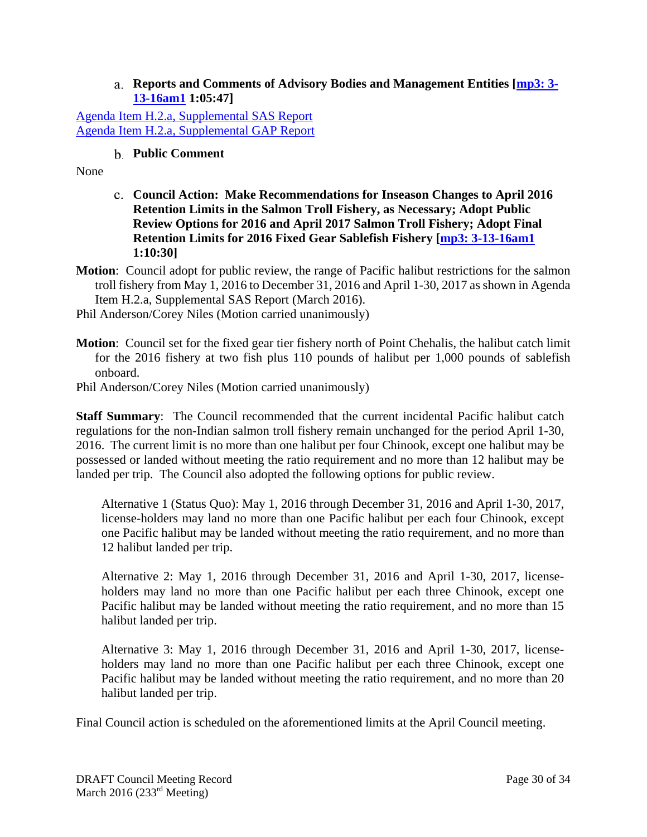#### **Reports and Comments of Advisory Bodies and Management Entities [mp3: 3- 13-16am1 1:05:47]**

Agenda Item H.2.a, Supplemental SAS Report Agenda Item H.2.a, Supplemental GAP Report

### **Public Comment**

None

- **Council Action: Make Recommendations for Inseason Changes to April 2016 Retention Limits in the Salmon Troll Fishery, as Necessary; Adopt Public Review Options for 2016 and April 2017 Salmon Troll Fishery; Adopt Final Retention Limits for 2016 Fixed Gear Sablefish Fishery [mp3: 3-13-16am1 1:10:30]**
- **Motion**: Council adopt for public review, the range of Pacific halibut restrictions for the salmon troll fishery from May 1, 2016 to December 31, 2016 and April 1-30, 2017 as shown in Agenda Item H.2.a, Supplemental SAS Report (March 2016).

Phil Anderson/Corey Niles (Motion carried unanimously)

**Motion**: Council set for the fixed gear tier fishery north of Point Chehalis, the halibut catch limit for the 2016 fishery at two fish plus 110 pounds of halibut per 1,000 pounds of sablefish onboard.

Phil Anderson/Corey Niles (Motion carried unanimously)

**Staff Summary**: The Council recommended that the current incidental Pacific halibut catch regulations for the non-Indian salmon troll fishery remain unchanged for the period April 1-30, 2016. The current limit is no more than one halibut per four Chinook, except one halibut may be possessed or landed without meeting the ratio requirement and no more than 12 halibut may be landed per trip. The Council also adopted the following options for public review.

Alternative 1 (Status Quo): May 1, 2016 through December 31, 2016 and April 1-30, 2017, license-holders may land no more than one Pacific halibut per each four Chinook, except one Pacific halibut may be landed without meeting the ratio requirement, and no more than 12 halibut landed per trip.

Alternative 2: May 1, 2016 through December 31, 2016 and April 1-30, 2017, licenseholders may land no more than one Pacific halibut per each three Chinook, except one Pacific halibut may be landed without meeting the ratio requirement, and no more than 15 halibut landed per trip.

Alternative 3: May 1, 2016 through December 31, 2016 and April 1-30, 2017, licenseholders may land no more than one Pacific halibut per each three Chinook, except one Pacific halibut may be landed without meeting the ratio requirement, and no more than 20 halibut landed per trip.

Final Council action is scheduled on the aforementioned limits at the April Council meeting.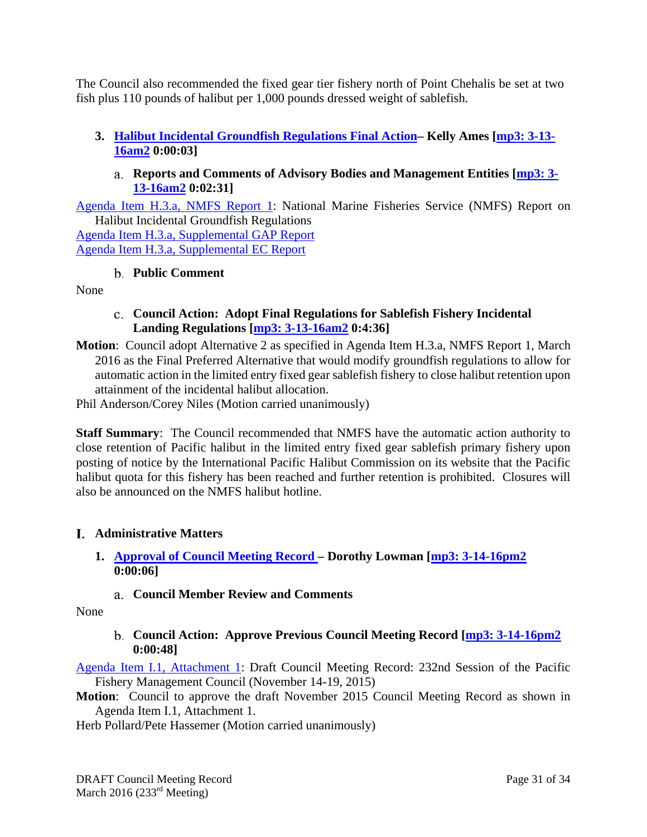The Council also recommended the fixed gear tier fishery north of Point Chehalis be set at two fish plus 110 pounds of halibut per 1,000 pounds dressed weight of sablefish.

# **3. Halibut Incidental Groundfish Regulations Final Action– Kelly Ames [mp3: 3-13- 16am2 0:00:03]**

### **Reports and Comments of Advisory Bodies and Management Entities [mp3: 3- 13-16am2 0:02:31]**

Agenda Item H.3.a, NMFS Report 1: National Marine Fisheries Service (NMFS) Report on Halibut Incidental Groundfish Regulations

Agenda Item H.3.a, Supplemental GAP Report Agenda Item H.3.a, Supplemental EC Report

### **Public Comment**

None

### **Council Action: Adopt Final Regulations for Sablefish Fishery Incidental Landing Regulations [mp3: 3-13-16am2 0:4:36]**

**Motion**: Council adopt Alternative 2 as specified in Agenda Item H.3.a, NMFS Report 1, March 2016 as the Final Preferred Alternative that would modify groundfish regulations to allow for automatic action in the limited entry fixed gear sablefish fishery to close halibut retention upon attainment of the incidental halibut allocation.

Phil Anderson/Corey Niles (Motion carried unanimously)

**Staff Summary**: The Council recommended that NMFS have the automatic action authority to close retention of Pacific halibut in the limited entry fixed gear sablefish primary fishery upon posting of notice by the International Pacific Halibut Commission on its website that the Pacific halibut quota for this fishery has been reached and further retention is prohibited. Closures will also be announced on the NMFS halibut hotline.

### **Administrative Matters**

- **1. Approval of Council Meeting Record Dorothy Lowman [mp3: 3-14-16pm2 0:00:06]** 
	- **Council Member Review and Comments**

None

**Council Action: Approve Previous Council Meeting Record [mp3: 3-14-16pm2 0:00:48]** 

Agenda Item I.1, Attachment 1: Draft Council Meeting Record: 232nd Session of the Pacific Fishery Management Council (November 14-19, 2015)

**Motion**: Council to approve the draft November 2015 Council Meeting Record as shown in Agenda Item I.1, Attachment 1.

Herb Pollard/Pete Hassemer (Motion carried unanimously)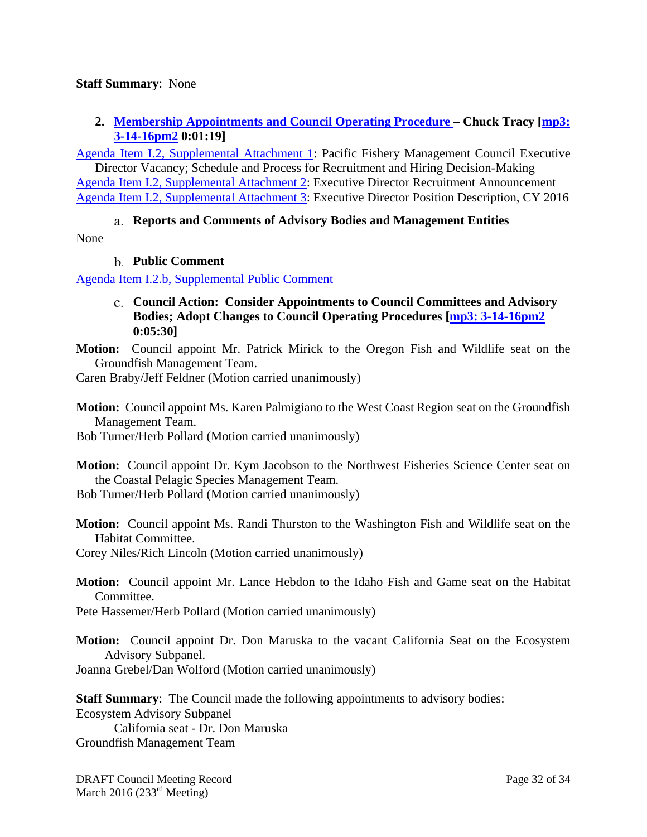#### **Staff Summary**: None

### **2. Membership Appointments and Council Operating Procedure – Chuck Tracy [mp3: 3-14-16pm2 0:01:19]**

Agenda Item I.2, Supplemental Attachment 1: Pacific Fishery Management Council Executive Director Vacancy; Schedule and Process for Recruitment and Hiring Decision-Making Agenda Item I.2, Supplemental Attachment 2: Executive Director Recruitment Announcement Agenda Item I.2, Supplemental Attachment 3: Executive Director Position Description, CY 2016

### **Reports and Comments of Advisory Bodies and Management Entities**  None

**Public Comment** 

Agenda Item I.2.b, Supplemental Public Comment

- **Council Action: Consider Appointments to Council Committees and Advisory Bodies; Adopt Changes to Council Operating Procedures [mp3: 3-14-16pm2 0:05:30]**
- **Motion:** Council appoint Mr. Patrick Mirick to the Oregon Fish and Wildlife seat on the Groundfish Management Team.

Caren Braby/Jeff Feldner (Motion carried unanimously)

**Motion:** Council appoint Ms. Karen Palmigiano to the West Coast Region seat on the Groundfish Management Team.

Bob Turner/Herb Pollard (Motion carried unanimously)

**Motion:** Council appoint Dr. Kym Jacobson to the Northwest Fisheries Science Center seat on the Coastal Pelagic Species Management Team.

Bob Turner/Herb Pollard (Motion carried unanimously)

**Motion:** Council appoint Ms. Randi Thurston to the Washington Fish and Wildlife seat on the Habitat Committee.

Corey Niles/Rich Lincoln (Motion carried unanimously)

**Motion:** Council appoint Mr. Lance Hebdon to the Idaho Fish and Game seat on the Habitat Committee.

Pete Hassemer/Herb Pollard (Motion carried unanimously)

**Motion:** Council appoint Dr. Don Maruska to the vacant California Seat on the Ecosystem Advisory Subpanel.

Joanna Grebel/Dan Wolford (Motion carried unanimously)

**Staff Summary**: The Council made the following appointments to advisory bodies: Ecosystem Advisory Subpanel

California seat - Dr. Don Maruska Groundfish Management Team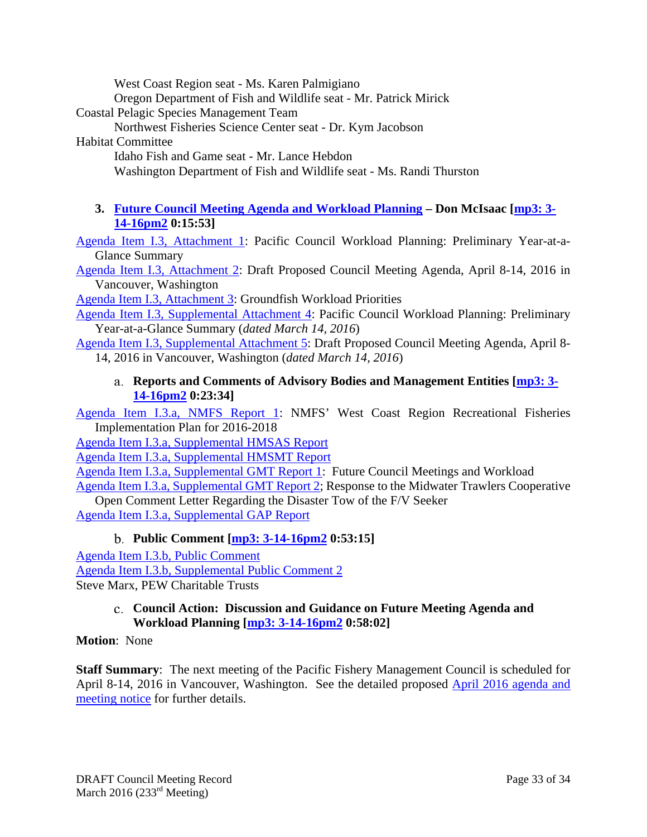West Coast Region seat - Ms. Karen Palmigiano

Oregon Department of Fish and Wildlife seat - Mr. Patrick Mirick

Coastal Pelagic Species Management Team

Northwest Fisheries Science Center seat - Dr. Kym Jacobson

### Habitat Committee

Idaho Fish and Game seat - Mr. Lance Hebdon

Washington Department of Fish and Wildlife seat - Ms. Randi Thurston

# **3. Future Council Meeting Agenda and Workload Planning – Don McIsaac [mp3: 3- 14-16pm2 0:15:53]**

Agenda Item I.3, Attachment 1: Pacific Council Workload Planning: Preliminary Year-at-a-Glance Summary

Agenda Item I.3, Attachment 2: Draft Proposed Council Meeting Agenda, April 8-14, 2016 in Vancouver, Washington

Agenda Item I.3, Attachment 3: Groundfish Workload Priorities

Agenda Item I.3, Supplemental Attachment 4: Pacific Council Workload Planning: Preliminary Year-at-a-Glance Summary (*dated March 14, 2016*)

Agenda Item I.3, Supplemental Attachment 5: Draft Proposed Council Meeting Agenda, April 8- 14, 2016 in Vancouver, Washington (*dated March 14, 2016*)

#### **Reports and Comments of Advisory Bodies and Management Entities [mp3: 3- 14-16pm2 0:23:34]**

Agenda Item I.3.a, NMFS Report 1: NMFS' West Coast Region Recreational Fisheries Implementation Plan for 2016-2018

Agenda Item I.3.a, Supplemental HMSAS Report

Agenda Item I.3.a, Supplemental HMSMT Report

Agenda Item I.3.a, Supplemental GMT Report 1: Future Council Meetings and Workload

Agenda Item I.3.a, Supplemental GMT Report 2; Response to the Midwater Trawlers Cooperative Open Comment Letter Regarding the Disaster Tow of the F/V Seeker

Agenda Item I.3.a, Supplemental GAP Report

### **Public Comment [mp3: 3-14-16pm2 0:53:15]**

Agenda Item I.3.b, Public Comment Agenda Item I.3.b, Supplemental Public Comment 2 Steve Marx, PEW Charitable Trusts

#### **Council Action: Discussion and Guidance on Future Meeting Agenda and Workload Planning [mp3: 3-14-16pm2 0:58:02]**

### **Motion**: None

**Staff Summary**: The next meeting of the Pacific Fishery Management Council is scheduled for April 8-14, 2016 in Vancouver, Washington. See the detailed proposed **April 2016 agenda and** meeting notice for further details.